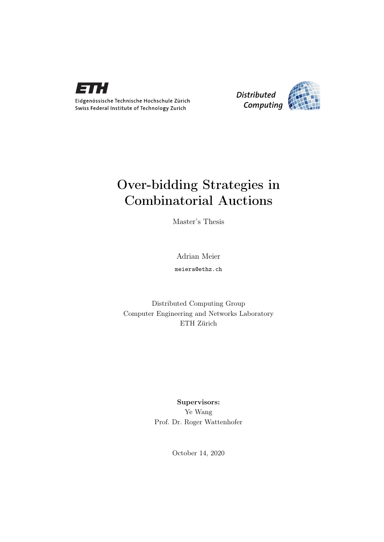

Eidgenössische Technische Hochschule Zürich Swiss Federal Institute of Technology Zurich



## Over-bidding Strategies in Combinatorial Auctions

Master's Thesis

Adrian Meier

meiera@ethz.ch

Distributed Computing Group Computer Engineering and Networks Laboratory ETH Zürich

> Supervisors: Ye Wang Prof. Dr. Roger Wattenhofer

> > October 14, 2020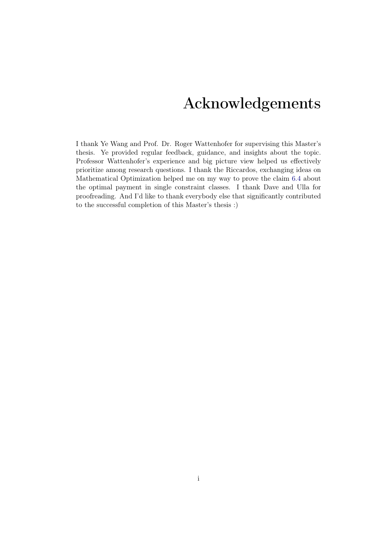## Acknowledgements

<span id="page-1-0"></span>I thank Ye Wang and Prof. Dr. Roger Wattenhofer for supervising this Master's thesis. Ye provided regular feedback, guidance, and insights about the topic. Professor Wattenhofer's experience and big picture view helped us effectively prioritize among research questions. I thank the Riccardos, exchanging ideas on Mathematical Optimization helped me on my way to prove the claim [6.4](#page-33-0) about the optimal payment in single constraint classes. I thank Dave and Ulla for proofreading. And I'd like to thank everybody else that significantly contributed to the successful completion of this Master's thesis :)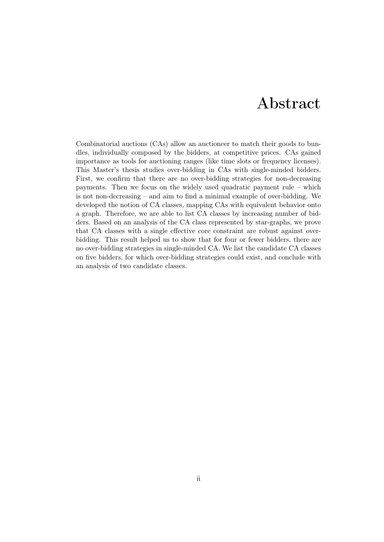## Abstract

<span id="page-2-0"></span>Combinatorial auctions (CAs) allow an auctioneer to match their goods to bundles, individually composed by the bidders, at competitive prices. CAs gained importance as tools for auctioning ranges (like time slots or frequency licenses). This Master's thesis studies over-bidding in CAs with single-minded bidders. First, we confirm that there are no over-bidding strategies for non-decreasing payments. Then we focus on the widely used quadratic payment rule – which is not non-decreasing – and aim to find a minimal example of over-bidding. We developed the notion of CA classes, mapping CAs with equivalent behavior onto a graph. Therefore, we are able to list CA classes by increasing number of bidders. Based on an analysis of the CA class represented by star-graphs, we prove that CA classes with a single effective core constraint are robust against overbidding. This result helped us to show that for four or fewer bidders, there are no over-bidding strategies in single-minded CA. We list the candidate CA classes on five bidders, for which over-bidding strategies could exist, and conclude with an analysis of two candidate classes.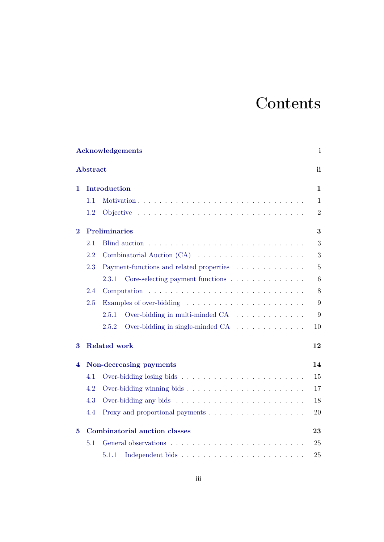# **Contents**

|                   |                 | <b>Acknowledgements</b>                   | i              |  |  |  |  |  |  |  |  |  |
|-------------------|-----------------|-------------------------------------------|----------------|--|--|--|--|--|--|--|--|--|
|                   | <b>Abstract</b> |                                           | ii             |  |  |  |  |  |  |  |  |  |
| Introduction<br>1 |                 |                                           |                |  |  |  |  |  |  |  |  |  |
|                   | 1.1             |                                           | $\mathbf{1}$   |  |  |  |  |  |  |  |  |  |
|                   | 1.2             |                                           | $\overline{2}$ |  |  |  |  |  |  |  |  |  |
| $\bf{2}$          |                 | <b>Preliminaries</b>                      | 3              |  |  |  |  |  |  |  |  |  |
|                   | 2.1             |                                           | 3              |  |  |  |  |  |  |  |  |  |
|                   | 2.2             |                                           | 3              |  |  |  |  |  |  |  |  |  |
|                   | 2.3             | Payment-functions and related properties  | $\overline{5}$ |  |  |  |  |  |  |  |  |  |
|                   |                 | Core-selecting payment functions<br>2.3.1 | 6              |  |  |  |  |  |  |  |  |  |
|                   | 2.4             |                                           | 8              |  |  |  |  |  |  |  |  |  |
|                   | 2.5             |                                           | 9              |  |  |  |  |  |  |  |  |  |
|                   |                 | Over-bidding in multi-minded CA<br>2.5.1  | 9              |  |  |  |  |  |  |  |  |  |
|                   |                 | Over-bidding in single-minded CA<br>2.5.2 | 10             |  |  |  |  |  |  |  |  |  |
| 3                 |                 | <b>Related work</b>                       | 12             |  |  |  |  |  |  |  |  |  |
| 4                 |                 | Non-decreasing payments                   | 14             |  |  |  |  |  |  |  |  |  |
|                   | 4.1             |                                           | 15             |  |  |  |  |  |  |  |  |  |
|                   | 4.2             |                                           | 17             |  |  |  |  |  |  |  |  |  |
|                   | 4.3             |                                           | 18             |  |  |  |  |  |  |  |  |  |
|                   | 4.4             |                                           | 20             |  |  |  |  |  |  |  |  |  |
| 5                 |                 | <b>Combinatorial auction classes</b>      | 23             |  |  |  |  |  |  |  |  |  |
|                   | 5.1             |                                           | 25             |  |  |  |  |  |  |  |  |  |
|                   |                 | 5.1.1                                     | 25             |  |  |  |  |  |  |  |  |  |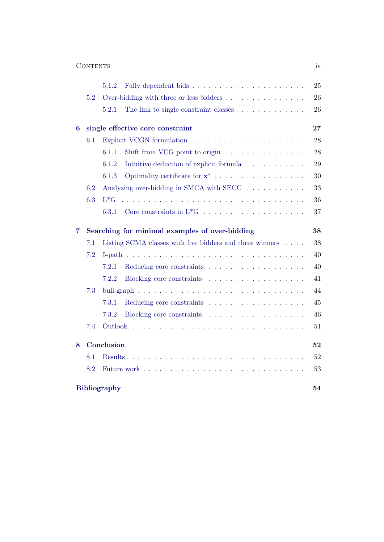| <b>1 T 3</b> |
|--------------|
|              |

|   |                                                      | 5.1.2                                                    |                                                                             | 25 |  |  |  |  |  |  |  |  |
|---|------------------------------------------------------|----------------------------------------------------------|-----------------------------------------------------------------------------|----|--|--|--|--|--|--|--|--|
|   | 5.2                                                  |                                                          |                                                                             | 26 |  |  |  |  |  |  |  |  |
|   |                                                      | 5.2.1                                                    | The link to single constraint classes                                       | 26 |  |  |  |  |  |  |  |  |
| 6 |                                                      |                                                          | single effective core constraint                                            | 27 |  |  |  |  |  |  |  |  |
|   | 6.1                                                  |                                                          |                                                                             | 28 |  |  |  |  |  |  |  |  |
|   |                                                      | 6.1.1                                                    | Shift from VCG point to origin $\ldots \ldots \ldots \ldots \ldots$         | 28 |  |  |  |  |  |  |  |  |
|   |                                                      | 6.1.2                                                    | Intuitive deduction of explicit formula                                     | 29 |  |  |  |  |  |  |  |  |
|   |                                                      | 6.1.3                                                    |                                                                             | 30 |  |  |  |  |  |  |  |  |
|   | 6.2                                                  |                                                          | Analyzing over-bidding in SMCA with SECC $\ldots \ldots \ldots \ldots$      | 33 |  |  |  |  |  |  |  |  |
|   | 6.3                                                  | $L*G$                                                    |                                                                             | 36 |  |  |  |  |  |  |  |  |
|   |                                                      | 6.3.1                                                    | Core constraints in $L^*G \ldots \ldots \ldots \ldots \ldots \ldots \ldots$ | 37 |  |  |  |  |  |  |  |  |
| 7 | Searching for minimal examples of over-bidding<br>38 |                                                          |                                                                             |    |  |  |  |  |  |  |  |  |
|   | 7.1                                                  | Listing SCMA classes with five bidders and three winners |                                                                             |    |  |  |  |  |  |  |  |  |
|   | 7.2                                                  |                                                          |                                                                             | 40 |  |  |  |  |  |  |  |  |
|   |                                                      | 7.2.1                                                    |                                                                             | 40 |  |  |  |  |  |  |  |  |
|   |                                                      | 7.2.2                                                    |                                                                             | 41 |  |  |  |  |  |  |  |  |
|   | 7.3                                                  |                                                          |                                                                             | 44 |  |  |  |  |  |  |  |  |
|   |                                                      | 7.3.1                                                    |                                                                             | 45 |  |  |  |  |  |  |  |  |
|   |                                                      | 7.3.2                                                    |                                                                             | 46 |  |  |  |  |  |  |  |  |
|   | 7.4                                                  |                                                          |                                                                             | 51 |  |  |  |  |  |  |  |  |
| 8 |                                                      | Conclusion                                               |                                                                             | 52 |  |  |  |  |  |  |  |  |
|   | 8.1                                                  |                                                          |                                                                             | 52 |  |  |  |  |  |  |  |  |
|   | 8.2                                                  |                                                          |                                                                             | 53 |  |  |  |  |  |  |  |  |
|   |                                                      | <b>Bibliography</b>                                      |                                                                             | 54 |  |  |  |  |  |  |  |  |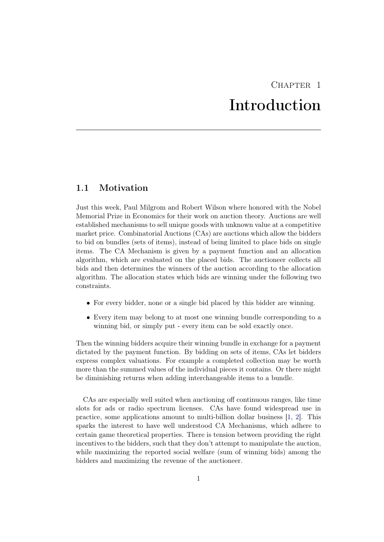## $CHAPTER$  1 Introduction

### <span id="page-5-1"></span><span id="page-5-0"></span>1.1 Motivation

Just this week, Paul Milgrom and Robert Wilson where honored with the Nobel Memorial Prize in Economics for their work on auction theory. Auctions are well established mechanisms to sell unique goods with unknown value at a competitive market price. Combinatorial Auctions (CAs) are auctions which allow the bidders to bid on bundles (sets of items), instead of being limited to place bids on single items. The CA Mechanism is given by a payment function and an allocation algorithm, which are evaluated on the placed bids. The auctioneer collects all bids and then determines the winners of the auction according to the allocation algorithm. The allocation states which bids are winning under the following two constraints.

- For every bidder, none or a single bid placed by this bidder are winning.
- Every item may belong to at most one winning bundle corresponding to a winning bid, or simply put - every item can be sold exactly once.

Then the winning bidders acquire their winning bundle in exchange for a payment dictated by the payment function. By bidding on sets of items, CAs let bidders express complex valuations. For example a completed collection may be worth more than the summed values of the individual pieces it contains. Or there might be diminishing returns when adding interchangeable items to a bundle.

CAs are especially well suited when auctioning off continuous ranges, like time slots for ads or radio spectrum licenses. CAs have found widespread use in practice, some applications amount to multi-billion dollar business [\[1,](#page-58-1) [2\]](#page-58-2). This sparks the interest to have well understood CA Mechanisms, which adhere to certain game theoretical properties. There is tension between providing the right incentives to the bidders, such that they don't attempt to manipulate the auction, while maximizing the reported social welfare (sum of winning bids) among the bidders and maximizing the revenue of the auctioneer.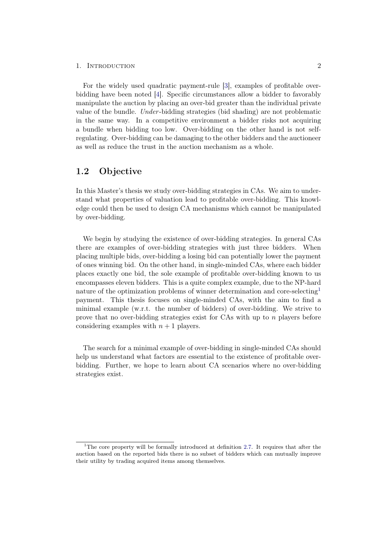#### 1. INTRODUCTION 2

For the widely used quadratic payment-rule [\[3\]](#page-58-3), examples of profitable overbidding have been noted [\[4\]](#page-58-4). Specific circumstances allow a bidder to favorably manipulate the auction by placing an over-bid greater than the individual private value of the bundle. Under -bidding strategies (bid shading) are not problematic in the same way. In a competitive environment a bidder risks not acquiring a bundle when bidding too low. Over-bidding on the other hand is not selfregulating. Over-bidding can be damaging to the other bidders and the auctioneer as well as reduce the trust in the auction mechanism as a whole.

### <span id="page-6-0"></span>1.2 Objective

In this Master's thesis we study over-bidding strategies in CAs. We aim to understand what properties of valuation lead to profitable over-bidding. This knowledge could then be used to design CA mechanisms which cannot be manipulated by over-bidding.

We begin by studying the existence of over-bidding strategies. In general CAs there are examples of over-bidding strategies with just three bidders. When placing multiple bids, over-bidding a losing bid can potentially lower the payment of ones winning bid. On the other hand, in single-minded CAs, where each bidder places exactly one bid, the sole example of profitable over-bidding known to us encompasses eleven bidders. This is a quite complex example, due to the NP-hard nature of the optimization problems of winner determination and core-selecting[1](#page-6-1) payment. This thesis focuses on single-minded CAs, with the aim to find a minimal example (w.r.t. the number of bidders) of over-bidding. We strive to prove that no over-bidding strategies exist for CAs with up to  $n$  players before considering examples with  $n + 1$  players.

The search for a minimal example of over-bidding in single-minded CAs should help us understand what factors are essential to the existence of profitable overbidding. Further, we hope to learn about CA scenarios where no over-bidding strategies exist.

<span id="page-6-1"></span><sup>&</sup>lt;sup>1</sup>The core property will be formally introduced at definition [2.7.](#page-10-1) It requires that after the auction based on the reported bids there is no subset of bidders which can mutually improve their utility by trading acquired items among themselves.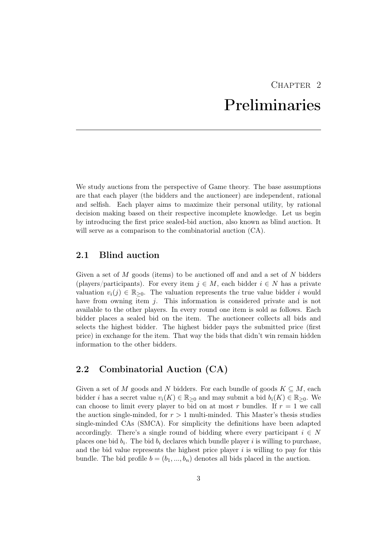## CHAPTER<sub>2</sub> Preliminaries

<span id="page-7-0"></span>We study auctions from the perspective of Game theory. The base assumptions are that each player (the bidders and the auctioneer) are independent, rational and selfish. Each player aims to maximize their personal utility, by rational decision making based on their respective incomplete knowledge. Let us begin by introducing the first price sealed-bid auction, also known as blind auction. It will serve as a comparison to the combinatorial auction  $(CA)$ .

### <span id="page-7-1"></span>2.1 Blind auction

Given a set of  $M$  goods (items) to be auctioned off and and a set of  $N$  bidders (players/participants). For every item  $j \in M$ , each bidder  $i \in N$  has a private valuation  $v_i(i) \in \mathbb{R}_{\geq 0}$ . The valuation represents the true value bidder i would have from owning item j. This information is considered private and is not available to the other players. In every round one item is sold as follows. Each bidder places a sealed bid on the item. The auctioneer collects all bids and selects the highest bidder. The highest bidder pays the submitted price (first price) in exchange for the item. That way the bids that didn't win remain hidden information to the other bidders.

## <span id="page-7-2"></span>2.2 Combinatorial Auction (CA)

Given a set of M goods and N bidders. For each bundle of goods  $K \subseteq M$ , each bidder *i* has a secret value  $v_i(K) \in \mathbb{R}_{\geq 0}$  and may submit a bid  $b_i(K) \in \mathbb{R}_{\geq 0}$ . We can choose to limit every player to bid on at most r bundles. If  $r = 1$  we call the auction single-minded, for  $r > 1$  multi-minded. This Master's thesis studies single-minded CAs (SMCA). For simplicity the definitions have been adapted accordingly. There's a single round of bidding where every participant  $i \in N$ places one bid  $b_i$ . The bid  $b_i$  declares which bundle player i is willing to purchase, and the bid value represents the highest price player  $i$  is willing to pay for this bundle. The bid profile  $b = (b_1, ..., b_n)$  denotes all bids placed in the auction.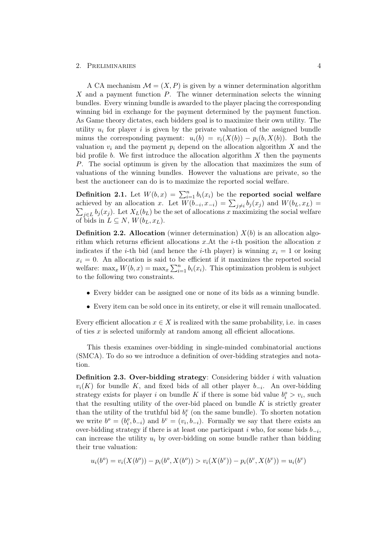A CA mechanism  $\mathcal{M} = (X, P)$  is given by a winner determination algorithm  $X$  and a payment function  $P$ . The winner determination selects the winning bundles. Every winning bundle is awarded to the player placing the corresponding winning bid in exchange for the payment determined by the payment function. As Game theory dictates, each bidders goal is to maximize their own utility. The utility  $u_i$  for player i is given by the private valuation of the assigned bundle minus the corresponding payment:  $u_i(b) = v_i(X(b)) - p_i(b, X(b))$ . Both the valuation  $v_i$  and the payment  $p_i$  depend on the allocation algorithm X and the bid profile b. We first introduce the allocation algorithm  $X$  then the payments P. The social optimum is given by the allocation that maximizes the sum of valuations of the winning bundles. However the valuations are private, so the best the auctioneer can do is to maximize the reported social welfare.

**Definition 2.1.** Let  $W(b, x) = \sum_{i=1}^{n} b_i(x_i)$  be the reported social welfare achieved by an allocation x. Let  $W(b_{-i}, x_{-i}) = \sum_{j \neq i} b_j(x_j)$  and  $W(b_L, x_L) =$  $\sum_{j\in L} b_j(x_j)$ . Let  $X_L(b_L)$  be the set of allocations x maximizing the social welfare of bids in  $L \subseteq N$ ,  $W(b_L, x_L)$ .

**Definition 2.2. Allocation** (winner determination)  $X(b)$  is an allocation algorithm which returns efficient allocations  $x.A$ t the *i*-th position the allocation  $x$ indicates if the *i*-th bid (and hence the *i*-th player) is winning  $x_i = 1$  or losing  $x_i = 0$ . An allocation is said to be efficient if it maximizes the reported social welfare:  $\max_x W(b, x) = \max_x \sum_{i=1}^n b_i(x_i)$ . This optimization problem is subject to the following two constraints.

- Every bidder can be assigned one or none of its bids as a winning bundle.
- Every item can be sold once in its entirety, or else it will remain unallocated.

Every efficient allocation  $x \in X$  is realized with the same probability, i.e. in cases of ties x is selected uniformly at random among all efficient allocations.

This thesis examines over-bidding in single-minded combinatorial auctions (SMCA). To do so we introduce a definition of over-bidding strategies and notation.

**Definition 2.3. Over-bidding strategy:** Considering bidder  $i$  with valuation  $v_i(K)$  for bundle K, and fixed bids of all other player  $b_{-i}$ . An over-bidding strategy exists for player i on bundle K if there is some bid value  $b_i^o > v_i$ , such that the resulting utility of the over-bid placed on bundle  $K$  is strictly greater than the utility of the truthful bid  $b_i^v$  (on the same bundle). To shorten notation we write  $b^o = (b_i^o, b_{-i})$  and  $b^v = (v_i, b_{-i})$ . Formally we say that there exists an over-bidding strategy if there is at least one participant i who, for some bids  $b_{-i}$ , can increase the utility  $u_i$  by over-bidding on some bundle rather than bidding their true valuation:

 $u_i(b^o) = v_i(X(b^o)) - p_i(b^o, X(b^o)) > v_i(X(b^v)) - p_i(b^v, X(b^v)) = u_i(b^v)$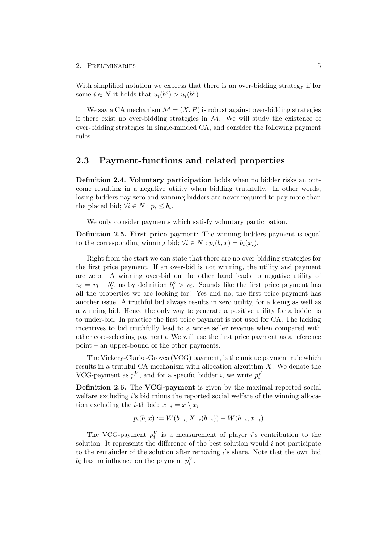With simplified notation we express that there is an over-bidding strategy if for some  $i \in N$  it holds that  $u_i(b^o) > u_i(b^v)$ .

We say a CA mechanism  $\mathcal{M} = (X, P)$  is robust against over-bidding strategies if there exist no over-bidding strategies in  $M$ . We will study the existence of over-bidding strategies in single-minded CA, and consider the following payment rules.

### <span id="page-9-0"></span>2.3 Payment-functions and related properties

Definition 2.4. Voluntary participation holds when no bidder risks an outcome resulting in a negative utility when bidding truthfully. In other words, losing bidders pay zero and winning bidders are never required to pay more than the placed bid;  $\forall i \in N : p_i \leq b_i$ .

We only consider payments which satisfy voluntary participation.

Definition 2.5. First price payment: The winning bidders payment is equal to the corresponding winning bid;  $\forall i \in N : p_i(b, x) = b_i(x_i)$ .

Right from the start we can state that there are no over-bidding strategies for the first price payment. If an over-bid is not winning, the utility and payment are zero. A winning over-bid on the other hand leads to negative utility of  $u_i = v_i - b_i^o$ , as by definition  $b_i^o > v_i$ . Sounds like the first price payment has all the properties we are looking for! Yes and no, the first price payment has another issue. A truthful bid always results in zero utility, for a losing as well as a winning bid. Hence the only way to generate a positive utility for a bidder is to under-bid. In practice the first price payment is not used for CA. The lacking incentives to bid truthfully lead to a worse seller revenue when compared with other core-selecting payments. We will use the first price payment as a reference point – an upper-bound of the other payments.

The Vickery-Clarke-Groves (VCG) payment, is the unique payment rule which results in a truthful CA mechanism with allocation algorithm  $X$ . We denote the VCG-payment as  $p^V$ , and for a specific bidder *i*, we write  $p_i^V$ .

Definition 2.6. The VCG-payment is given by the maximal reported social welfare excluding i's bid minus the reported social welfare of the winning allocation excluding the *i*-th bid:  $x_{-i} = x \setminus x_i$ 

$$
p_i(b, x) := W(b_{-i}, X_{-i}(b_{-i})) - W(b_{-i}, x_{-i})
$$

The VCG-payment  $p_i^V$  is a measurement of player *i*'s contribution to the solution. It represents the difference of the best solution would  $i$  not participate to the remainder of the solution after removing  $i$ 's share. Note that the own bid  $b_i$  has no influence on the payment  $p_i^V$ .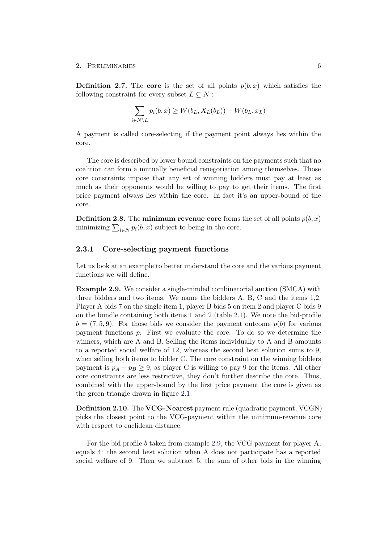<span id="page-10-1"></span>**Definition 2.7.** The core is the set of all points  $p(b, x)$  which satisfies the following constraint for every subset  $L \subseteq N$ :

$$
\sum_{i \in N \setminus L} p_i(b, x) \ge W(b_L, X_L(b_L)) - W(b_L, x_L)
$$

A payment is called core-selecting if the payment point always lies within the core.

The core is described by lower bound constraints on the payments such that no coalition can form a mutually beneficial renegotiation among themselves. Those core constraints impose that any set of winning bidders must pay at least as much as their opponents would be willing to pay to get their items. The first price payment always lies within the core. In fact it's an upper-bound of the core.

**Definition 2.8.** The **minimum revenue core** forms the set of all points  $p(b, x)$ minimizing  $\sum_{i\in N} p_i(b, x)$  subject to being in the core.

#### <span id="page-10-0"></span>2.3.1 Core-selecting payment functions

Let us look at an example to better understand the core and the various payment functions we will define.

<span id="page-10-2"></span>Example 2.9. We consider a single-minded combinatorial auction (SMCA) with three bidders and two items. We name the bidders A, B, C and the items 1,2. Player A bids 7 on the single item 1, player B bids 5 on item 2 and player C bids 9 on the bundle containing both items 1 and 2 (table [2.1\)](#page-11-0). We note the bid-profile  $b = (7, 5, 9)$ . For those bids we consider the payment outcome  $p(b)$  for various payment functions p. First we evaluate the core. To do so we determine the winners, which are A and B. Selling the items individually to A and B amounts to a reported social welfare of 12, whereas the second best solution sums to 9, when selling both items to bidder C. The core constraint on the winning bidders payment is  $p_A + p_B \geq 9$ , as player C is willing to pay 9 for the items. All other core constraints are less restrictive, they don't further describe the core. Thus, combined with the upper-bound by the first price payment the core is given as the green triangle drawn in figure [2.1.](#page-12-1)

Definition 2.10. The VCG-Nearest payment rule (quadratic payment, VCGN) picks the closest point to the VCG-payment within the minimum-revenue core with respect to euclidean distance.

For the bid profile  $b$  taken from example [2.9,](#page-10-2) the VCG payment for player A, equals 4: the second best solution when A does not participate has a reported social welfare of 9. Then we subtract 5, the sum of other bids in the winning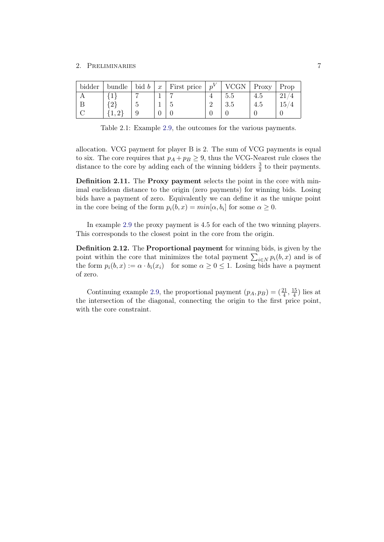| bidder | bundle | bid $b$ | $\boldsymbol{x}$ | First price | $p^V$ | <b>VCGN</b> | Proxy | Prop            |
|--------|--------|---------|------------------|-------------|-------|-------------|-------|-----------------|
|        |        |         |                  |             |       | 5.5         | 4.5   |                 |
|        |        | ∪       |                  |             |       | 3.5         | 4.5   | 15 <sup>7</sup> |
|        |        | 9       |                  |             |       |             |       |                 |

<span id="page-11-0"></span>Table 2.1: Example [2.9,](#page-10-2) the outcomes for the various payments.

allocation. VCG payment for player B is 2. The sum of VCG payments is equal to six. The core requires that  $p_A + p_B \geq 9$ , thus the VCG-Nearest rule closes the distance to the core by adding each of the winning bidders  $\frac{3}{2}$  to their payments.

Definition 2.11. The Proxy payment selects the point in the core with minimal euclidean distance to the origin (zero payments) for winning bids. Losing bids have a payment of zero. Equivalently we can define it as the unique point in the core being of the form  $p_i(b, x) = min[\alpha, b_i]$  for some  $\alpha \geq 0$ .

In example [2.9](#page-10-2) the proxy payment is 4.5 for each of the two winning players. This corresponds to the closest point in the core from the origin.

Definition 2.12. The Proportional payment for winning bids, is given by the point within the core that minimizes the total payment  $\sum_{i\in N} p_i(b, x)$  and is of the form  $p_i(b, x) := \alpha \cdot b_i(x_i)$  for some  $\alpha \geq 0 \leq 1$ . Losing bids have a payment of zero.

Continuing example [2.9,](#page-10-2) the proportional payment  $(p_A, p_B) = \left(\frac{21}{4}, \frac{15}{4}\right)$  $\frac{15}{4}$ ) lies at the intersection of the diagonal, connecting the origin to the first price point, with the core constraint.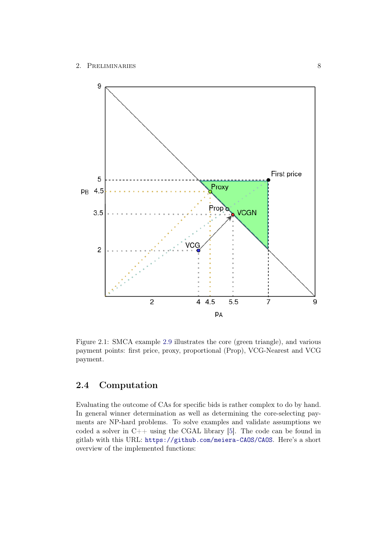

<span id="page-12-1"></span>Figure 2.1: SMCA example [2.9](#page-10-2) illustrates the core (green triangle), and various payment points: first price, proxy, proportional (Prop), VCG-Nearest and VCG payment.

## <span id="page-12-0"></span>2.4 Computation

Evaluating the outcome of CAs for specific bids is rather complex to do by hand. In general winner determination as well as determining the core-selecting payments are NP-hard problems. To solve examples and validate assumptions we coded a solver in  $C++$  using the CGAL library [\[5\]](#page-58-5). The code can be found in gitlab with this URL: <https://github.com/meiera-CAOS/CAOS>. Here's a short overview of the implemented functions: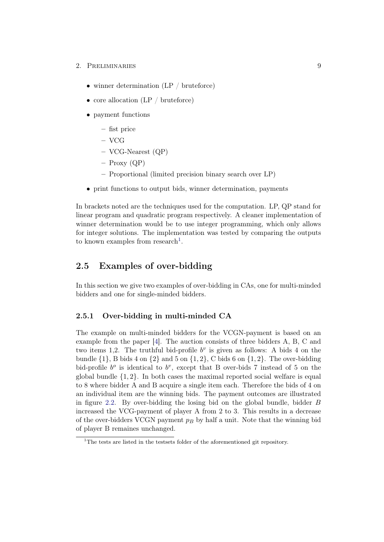- 2. PRELIMINARIES 9
	- winner determination (LP / bruteforce)
	- core allocation (LP / bruteforce)
	- payment functions
		- fist price
		- VCG
		- VCG-Nearest (QP)
		- $-$  Proxy (QP)
		- Proportional (limited precision binary search over LP)
	- print functions to output bids, winner determination, payments

In brackets noted are the techniques used for the computation. LP, QP stand for linear program and quadratic program respectively. A cleaner implementation of winner determination would be to use integer programming, which only allows for integer solutions. The implementation was tested by comparing the outputs to known examples from research<sup>[1](#page-13-2)</sup>.

## <span id="page-13-0"></span>2.5 Examples of over-bidding

In this section we give two examples of over-bidding in CAs, one for multi-minded bidders and one for single-minded bidders.

#### <span id="page-13-1"></span>2.5.1 Over-bidding in multi-minded CA

The example on multi-minded bidders for the VCGN-payment is based on an example from the paper [\[4\]](#page-58-4). The auction consists of three bidders A, B, C and two items 1,2. The truthful bid-profile  $b^v$  is given as follows: A bids 4 on the bundle  $\{1\}$ , B bids 4 on  $\{2\}$  and 5 on  $\{1, 2\}$ , C bids 6 on  $\{1, 2\}$ . The over-bidding bid-profile  $b^o$  is identical to  $b^v$ , except that B over-bids 7 instead of 5 on the global bundle  $\{1, 2\}$ . In both cases the maximal reported social welfare is equal to 8 where bidder A and B acquire a single item each. Therefore the bids of 4 on an individual item are the winning bids. The payment outcomes are illustrated in figure [2.2.](#page-14-1) By over-bidding the losing bid on the global bundle, bidder B increased the VCG-payment of player A from 2 to 3. This results in a decrease of the over-bidders VCGN payment  $p_B$  by half a unit. Note that the winning bid of player B remaines unchanged.

<span id="page-13-2"></span> $1$ <sup>1</sup>The tests are listed in the testsets folder of the aforementioned git repository.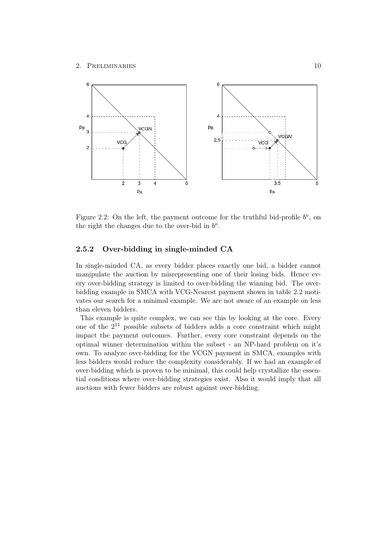

<span id="page-14-1"></span>Figure 2.2: On the left, the payment outcome for the truthful bid-profile  $b^v$ , on the right the changes due to the over-bid in  $b^o$ .

#### <span id="page-14-0"></span>2.5.2 Over-bidding in single-minded CA

In single-minded CA, as every bidder places exactly one bid, a bidder cannot manipulate the auction by misrepresenting one of their losing bids. Hence every over-bidding strategy is limited to over-bidding the winning bid. The overbidding example in SMCA with VCG-Nearest payment shown in table [2.2](#page-15-0) motivates our search for a minimal example. We are not aware of an example on less than eleven bidders.

This example is quite complex, we can see this by looking at the core. Every one of the  $2^{11}$  possible subsets of bidders adds a core constraint which might impact the payment outcomes. Further, every core constraint depends on the optimal winner determination within the subset - an NP-hard problem on it's own. To analyze over-bidding for the VCGN payment in SMCA, examples with less bidders would reduce the complexity considerably. If we had an example of over-bidding which is proven to be minimal, this could help crystallize the essential conditions where over-bidding strategies exist. Also it would imply that all auctions with fewer bidders are robust against over-bidding.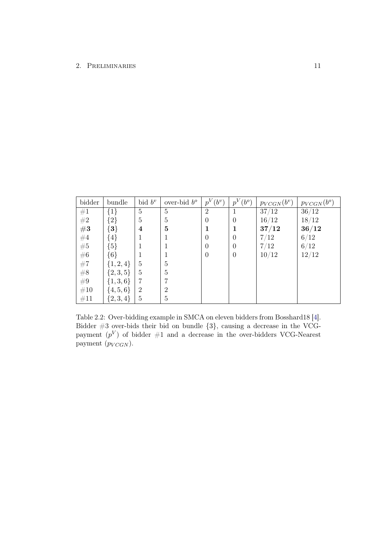| bidder                                                  | bundle        | bid $b^v$      | over-bid $b^o$ | $p^{V}(b^{v})$ | $p^V$<br>$(b^o)$ | $p_{VCGN}(b^v)$ | $p_{VCGN}(b^o)$ |
|---------------------------------------------------------|---------------|----------------|----------------|----------------|------------------|-----------------|-----------------|
| #1                                                      | $\{1\}$       | 5              | 5              | $\overline{2}$ |                  | 37/12           | 36/12           |
| $\#2$                                                   | $\{2\}$       | $\overline{5}$ | 5              | $\theta$       | $\Omega$         | 16/12           | 18/12           |
| #3                                                      | $\{3\}$       | 4              | 5              |                |                  | 37/12           | 36/12           |
| $\begin{array}{l} \#4 \\ \#5 \\ \#6 \\ \#7 \end{array}$ | $\{4\}$       |                |                | 0              | $\Omega$         | 7/12            | 6/12            |
|                                                         | ${5}$         |                |                | 0              | $\theta$         | 7/12            | 6/12            |
|                                                         | ${6}$         |                |                | $\theta$       | $\theta$         | 10/12           | 12/12           |
|                                                         | $\{1, 2, 4\}$ | 5              | 5              |                |                  |                 |                 |
| $#8$<br>#9                                              | $\{2, 3, 5\}$ | $\overline{5}$ | 5              |                |                  |                 |                 |
|                                                         | $\{1, 3, 6\}$ | 7              |                |                |                  |                 |                 |
| #10                                                     | $\{4, 5, 6\}$ | $\overline{2}$ | $\overline{2}$ |                |                  |                 |                 |
| #11                                                     | ${2,3,4}$     | $\overline{5}$ | 5              |                |                  |                 |                 |

<span id="page-15-0"></span>Table 2.2: Over-bidding example in SMCA on eleven bidders from Bosshard18 [\[4\]](#page-58-4). Bidder #3 over-bids their bid on bundle {3}, causing a decrease in the VCGpayment  $(p^V)$  of bidder  $\#1$  and a decrease in the over-bidders VCG-Nearest payment  $(p_{VCGN})$ .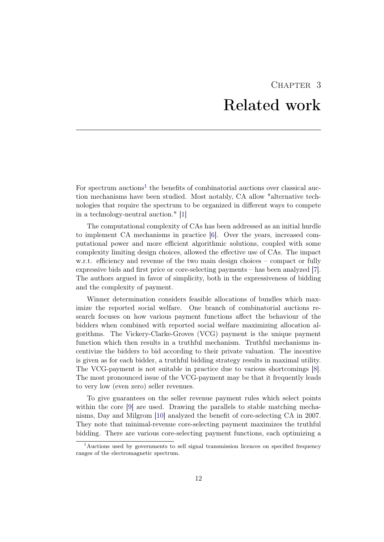## CHAPTER 3 Related work

<span id="page-16-0"></span>For spectrum auctions<sup>[1](#page-16-1)</sup> the benefits of combinatorial auctions over classical auction mechanisms have been studied. Most notably, CA allow "alternative technologies that require the spectrum to be organized in different ways to compete in a technology-neutral auction." [\[1\]](#page-58-1)

The computational complexity of CAs has been addressed as an initial hurdle to implement CA mechanisms in practice [\[6\]](#page-58-6). Over the years, increased computational power and more efficient algorithmic solutions, coupled with some complexity limiting design choices, allowed the effective use of CAs. The impact w.r.t. efficiency and revenue of the two main design choices – compact or fully expressive bids and first price or core-selecting payments – has been analyzed [\[7\]](#page-58-7). The authors argued in favor of simplicity, both in the expressiveness of bidding and the complexity of payment.

Winner determination considers feasible allocations of bundles which maximize the reported social welfare. One branch of combinatorial auctions research focuses on how various payment functions affect the behaviour of the bidders when combined with reported social welfare maximizing allocation algorithms. The Vickery-Clarke-Groves (VCG) payment is the unique payment function which then results in a truthful mechanism. Truthful mechanisms incentivize the bidders to bid according to their private valuation. The incentive is given as for each bidder, a truthful bidding strategy results in maximal utility. The VCG-payment is not suitable in practice due to various shortcomings [\[8\]](#page-58-8). The most pronounced issue of the VCG-payment may be that it frequently leads to very low (even zero) seller revenues.

To give guarantees on the seller revenue payment rules which select points within the core [\[9\]](#page-58-9) are used. Drawing the parallels to stable matching mechanisms, Day and Milgrom [\[10\]](#page-59-0) analyzed the benefit of core-selecting CA in 2007. They note that minimal-revenue core-selecting payment maximizes the truthful bidding. There are various core-selecting payment functions, each optimizing a

<span id="page-16-1"></span><sup>&</sup>lt;sup>1</sup>Auctions used by governments to sell signal transmission licences on specified frequency ranges of the electromagnetic spectrum.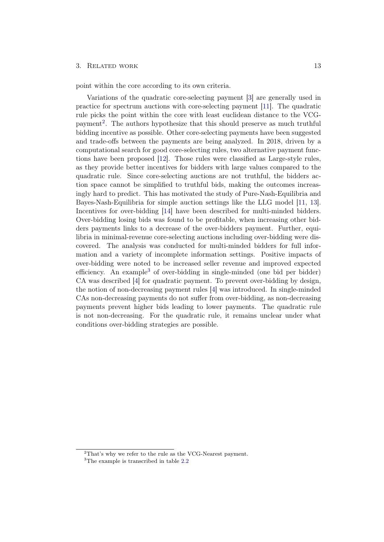#### 3. RELATED WORK 13

point within the core according to its own criteria.

Variations of the quadratic core-selecting payment [\[3\]](#page-58-3) are generally used in practice for spectrum auctions with core-selecting payment [\[11\]](#page-59-1). The quadratic rule picks the point within the core with least euclidean distance to the VCG-payment<sup>[2](#page-17-0)</sup>. The authors hypothesize that this should preserve as much truthful bidding incentive as possible. Other core-selecting payments have been suggested and trade-offs between the payments are being analyzed. In 2018, driven by a computational search for good core-selecting rules, two alternative payment functions have been proposed [\[12\]](#page-59-2). Those rules were classified as Large-style rules, as they provide better incentives for bidders with large values compared to the quadratic rule. Since core-selecting auctions are not truthful, the bidders action space cannot be simplified to truthful bids, making the outcomes increasingly hard to predict. This has motivated the study of Pure-Nash-Equilibria and Bayes-Nash-Equilibria for simple auction settings like the LLG model [\[11,](#page-59-1) [13\]](#page-59-3). Incentives for over-bidding [\[14\]](#page-59-4) have been described for multi-minded bidders. Over-bidding losing bids was found to be profitable, when increasing other bidders payments links to a decrease of the over-bidders payment. Further, equilibria in minimal-revenue core-selecting auctions including over-bidding were discovered. The analysis was conducted for multi-minded bidders for full information and a variety of incomplete information settings. Positive impacts of over-bidding were noted to be increased seller revenue and improved expected efficiency. An example<sup>[3](#page-17-1)</sup> of over-bidding in single-minded (one bid per bidder) CA was described [\[4\]](#page-58-4) for quadratic payment. To prevent over-bidding by design, the notion of non-decreasing payment rules [\[4\]](#page-58-4) was introduced. In single-minded CAs non-decreasing payments do not suffer from over-bidding, as non-decreasing payments prevent higher bids leading to lower payments. The quadratic rule is not non-decreasing. For the quadratic rule, it remains unclear under what conditions over-bidding strategies are possible.

<span id="page-17-0"></span> $2$ That's why we refer to the rule as the VCG-Nearest payment.

<span id="page-17-1"></span><sup>&</sup>lt;sup>3</sup>The example is transcribed in table [2.2](#page-15-0)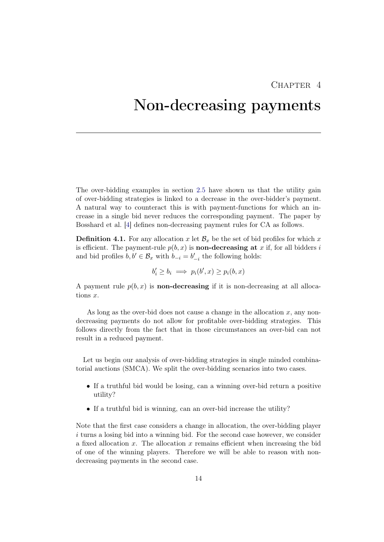## $CHAPTER$  4

## <span id="page-18-0"></span>Non-decreasing payments

The over-bidding examples in section [2.5](#page-13-0) have shown us that the utility gain of over-bidding strategies is linked to a decrease in the over-bidder's payment. A natural way to counteract this is with payment-functions for which an increase in a single bid never reduces the corresponding payment. The paper by Bosshard et al. [\[4\]](#page-58-4) defines non-decreasing payment rules for CA as follows.

<span id="page-18-1"></span>**Definition 4.1.** For any allocation x let  $\mathcal{B}_x$  be the set of bid profiles for which x is efficient. The payment-rule  $p(b, x)$  is **non-decreasing at** x if, for all bidders i and bid profiles  $b, b' \in \mathcal{B}_x$  with  $b_{-i} = b'_{-i}$  the following holds:

$$
b'_i \ge b_i \implies p_i(b', x) \ge p_i(b, x)
$$

A payment rule  $p(b, x)$  is **non-decreasing** if it is non-decreasing at all allocations x.

As long as the over-bid does not cause a change in the allocation  $x$ , any nondecreasing payments do not allow for profitable over-bidding strategies. This follows directly from the fact that in those circumstances an over-bid can not result in a reduced payment.

Let us begin our analysis of over-bidding strategies in single minded combinatorial auctions (SMCA). We split the over-bidding scenarios into two cases.

- If a truthful bid would be losing, can a winning over-bid return a positive utility?
- If a truthful bid is winning, can an over-bid increase the utility?

Note that the first case considers a change in allocation, the over-bidding player i turns a losing bid into a winning bid. For the second case however, we consider a fixed allocation  $x$ . The allocation  $x$  remains efficient when increasing the bid of one of the winning players. Therefore we will be able to reason with nondecreasing payments in the second case.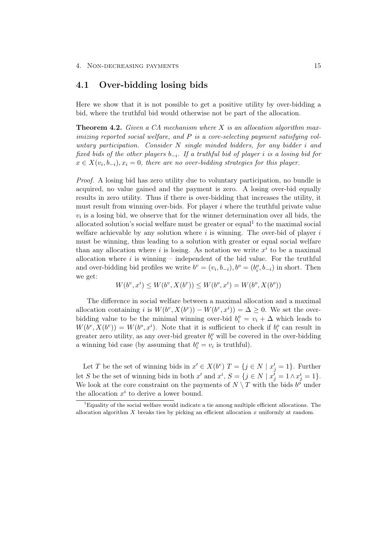## <span id="page-19-0"></span>4.1 Over-bidding losing bids

Here we show that it is not possible to get a positive utility by over-bidding a bid, where the truthful bid would otherwise not be part of the allocation.

<span id="page-19-2"></span>**Theorem 4.2.** Given a CA mechanism where X is an allocation algorithm maximizing reported social welfare, and P is a core-selecting payment satisfying voluntary participation. Consider  $N$  single minded bidders, for any bidder i and fixed bids of the other players  $b_{-i}$ . If a truthful bid of player i is a losing bid for  $x \in X(v_i, b_{-i}), x_i = 0$ , there are no over-bidding strategies for this player.

Proof. A losing bid has zero utility due to voluntary participation, no bundle is acquired, no value gained and the payment is zero. A losing over-bid equally results in zero utility. Thus if there is over-bidding that increases the utility, it must result from winning over-bids. For player i where the truthful private value  $v_i$  is a losing bid, we observe that for the winner determination over all bids, the allocated solution's social welfare must be greater or equal<sup>[1](#page-19-1)</sup> to the maximal social welfare achievable by any solution where  $i$  is winning. The over-bid of player  $i$ must be winning, thus leading to a solution with greater or equal social welfare than any allocation where i is losing. As notation we write  $x^i$  to be a maximal allocation where  $i$  is winning – independent of the bid value. For the truthful and over-bidding bid profiles we write  $b^v = (v_i, b_{-i}), b^o = (b_i^o, b_{-i})$  in short. Then we get:

$$
W(b^v, x^i) \le W(b^v, X(b^v)) \le W(b^o, x^i) = W(b^o, X(b^o))
$$

The difference in social welfare between a maximal allocation and a maximal allocation containing i is  $W(b^v, X(b^v)) - W(b^v, x^i) = \Delta \geq 0$ . We set the overbidding value to be the minimal winning over-bid  $b_i^o = v_i + \Delta$  which leads to  $W(b^v, X(b^v)) = W(b^o, x^i)$ . Note that it is sufficient to check if  $b_i^o$  can result in greater zero utility, as any over-bid greater  $b_i^o$  will be covered in the over-bidding a winning bid case (by assuming that  $b_i^o = v_i$  is truthful).

Let T be the set of winning bids in  $x' \in X(b^v)$   $T = \{j \in N \mid x'_j = 1\}$ . Further let S be the set of winning bids in both  $x'$  and  $x^i$ ,  $S = \{j \in N \mid x'_j = 1 \land x^i_j = 1\}$ . We look at the core constraint on the payments of  $N \setminus T$  with the bids  $b^{\delta}$  under the allocation  $x^i$  to derive a lower bound.

<span id="page-19-1"></span> ${}^{1}$ Equality of the social welfare would indicate a tie among multiple efficient allocations. The allocation algorithm  $X$  breaks ties by picking an efficient allocation  $x$  uniformly at random.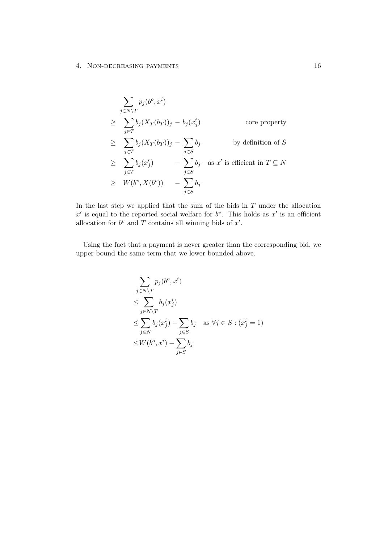#### 4. NON-DECREASING PAYMENTS 16

$$
\sum_{j \in N \setminus T} p_j(b^o, x^i)
$$
\n
$$
\geq \sum_{j \in T} b_j (X_T(b_T))_j - b_j(x_j^i)
$$
\n
$$
\geq \sum_{j \in T} b_j (X_T(b_T))_j - \sum_{j \in S} b_j
$$
\n
$$
\geq \sum_{j \in T} b_j (x_j') - \sum_{j \in S} b_j \text{ as } x' \text{ is efficient in } T \subseteq N
$$
\n
$$
\geq W(b^v, X(b^v)) - \sum_{j \in S} b_j
$$

In the last step we applied that the sum of the bids in  $T$  under the allocation  $x'$  is equal to the reported social welfare for  $b^v$ . This holds as  $x'$  is an efficient allocation for  $b^v$  and T contains all winning bids of  $x'$ .

Using the fact that a payment is never greater than the corresponding bid, we upper bound the same term that we lower bounded above.

$$
\sum_{j \in N \setminus T} p_j(b^o, x^i)
$$
\n
$$
\leq \sum_{j \in N \setminus T} b_j(x_j^i)
$$
\n
$$
\leq \sum_{j \in N} b_j(x_j^i) - \sum_{j \in S} b_j \quad \text{as } \forall j \in S : (x_j^i = 1)
$$
\n
$$
\leq W(b^o, x^i) - \sum_{j \in S} b_j
$$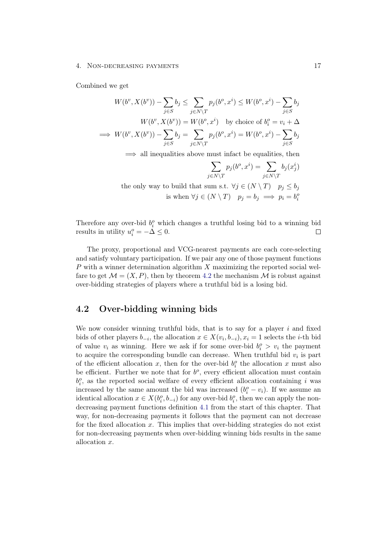#### 4. Non-decreasing payments 17

Combined we get

$$
W(b^v, X(b^v)) - \sum_{j \in S} b_j \le \sum_{j \in N \setminus T} p_j(b^o, x^i) \le W(b^o, x^i) - \sum_{j \in S} b_j
$$
  

$$
W(b^v, X(b^v)) = W(b^o, x^i) \text{ by choice of } b_i^o = v_i + \Delta
$$
  

$$
\implies W(b^v, X(b^v)) - \sum_{j \in S} b_j = \sum_{j \in N \setminus T} p_j(b^o, x^i) = W(b^o, x^i) - \sum_{j \in S} b_j
$$

 $\implies$  all inequalities above must infact be equalities, then

$$
\sum_{j \in N \setminus T} p_j(b^o, x^i) = \sum_{j \in N \setminus T} b_j(x_j^i)
$$
  
the only way to build that sum s.t.  $\forall j \in (N \setminus T)$   $p_j \le b_j$   
is when  $\forall j \in (N \setminus T)$   $p_j = b_j \implies p_i = b_i^o$ 

Therefore any over-bid  $b_i^o$  which changes a truthful losing bid to a winning bid results in utility  $u_i^o = -\Delta \leq 0$ .  $\Box$ 

The proxy, proportional and VCG-nearest payments are each core-selecting and satisfy voluntary participation. If we pair any one of those payment functions P with a winner determination algorithm  $X$  maximizing the reported social welfare to get  $\mathcal{M} = (X, P)$ , then by theorem [4.2](#page-19-2) the mechanism  $\mathcal{M}$  is robust against over-bidding strategies of players where a truthful bid is a losing bid.

## <span id="page-21-0"></span>4.2 Over-bidding winning bids

We now consider winning truthful bids, that is to say for a player  $i$  and fixed bids of other players  $b_{-i}$ , the allocation  $x \in X(v_i, b_{-i}), x_i = 1$  selects the *i*-th bid of value  $v_i$  as winning. Here we ask if for some over-bid  $b_i^o > v_i$  the payment to acquire the corresponding bundle can decrease. When truthful bid  $v_i$  is part of the efficient allocation x, then for the over-bid  $b_i^o$  the allocation x must also be efficient. Further we note that for  $b^o$ , every efficient allocation must contain  $b_i^o$ , as the reported social welfare of every efficient allocation containing i was increased by the same amount the bid was increased  $(b_i^o - v_i)$ . If we assume an identical allocation  $x \in X(b_i^o, b_{-i})$  for any over-bid  $b_i^o$ , then we can apply the nondecreasing payment functions definition [4.1](#page-18-1) from the start of this chapter. That way, for non-decreasing payments it follows that the payment can not decrease for the fixed allocation  $x$ . This implies that over-bidding strategies do not exist for non-decreasing payments when over-bidding winning bids results in the same allocation x.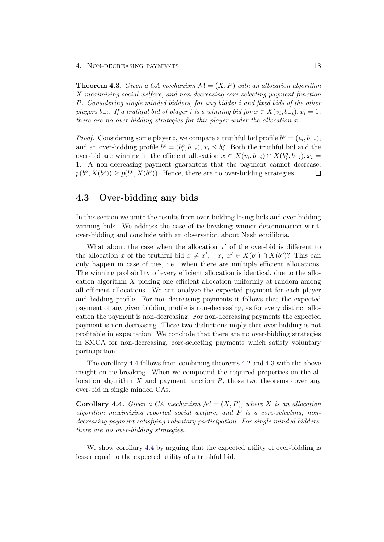#### 4. Non-decreasing payments 18

<span id="page-22-2"></span>**Theorem 4.3.** Given a CA mechanism  $\mathcal{M} = (X, P)$  with an allocation algorithm X maximizing social welfare, and non-decreasing core-selecting payment function P. Considering single minded bidders, for any bidder i and fixed bids of the other players  $b_{-i}$ . If a truthful bid of player i is a winning bid for  $x \in X(v_i, b_{-i}), x_i = 1$ , there are no over-bidding strategies for this player under the allocation  $x$ .

*Proof.* Considering some player i, we compare a truthful bid profile  $b^v = (v_i, b_{-i})$ , and an over-bidding profile  $b^o = (b_i^o, b_{-i}), v_i \leq b_i^o$ . Both the truthful bid and the over-bid are winning in the efficient allocation  $x \in X(v_i, b_{-i}) \cap X(b_i^o, b_{-i}), x_i =$ 1. A non-decreasing payment guarantees that the payment cannot decrease,  $p(b^o, X(b^o)) \geq p(b^v, X(b^v))$ . Hence, there are no over-bidding strategies.  $\Box$ 

### <span id="page-22-0"></span>4.3 Over-bidding any bids

In this section we unite the results from over-bidding losing bids and over-bidding winning bids. We address the case of tie-breaking winner determination w.r.t. over-bidding and conclude with an observation about Nash equilibria.

What about the case when the allocation  $x'$  of the over-bid is different to the allocation x of the truthful bid  $x \neq x'$ ,  $x, x' \in X(b^v) \cap X(b^o)$ ? This can only happen in case of ties, i.e. when there are multiple efficient allocations. The winning probability of every efficient allocation is identical, due to the allocation algorithm X picking one efficient allocation uniformly at random among all efficient allocations. We can analyze the expected payment for each player and bidding profile. For non-decreasing payments it follows that the expected payment of any given bidding profile is non-decreasing, as for every distinct allocation the payment is non-decreasing. For non-decreasing payments the expected payment is non-decreasing. These two deductions imply that over-bidding is not profitable in expectation. We conclude that there are no over-bidding strategies in SMCA for non-decreasing, core-selecting payments which satisfy voluntary participation.

The corollary [4.4](#page-22-1) follows from combining theorems [4.2](#page-19-2) and [4.3](#page-22-2) with the above insight on tie-breaking. When we compound the required properties on the allocation algorithm  $X$  and payment function  $P$ , those two theorems cover any over-bid in single minded CAs.

<span id="page-22-1"></span>**Corollary 4.4.** Given a CA mechanism  $\mathcal{M} = (X, P)$ , where X is an allocation algorithm maximizing reported social welfare, and  $P$  is a core-selecting, nondecreasing payment satisfying voluntary participation. For single minded bidders, there are no over-bidding strategies.

We show corollary [4.4](#page-22-1) by arguing that the expected utility of over-bidding is lesser equal to the expected utility of a truthful bid.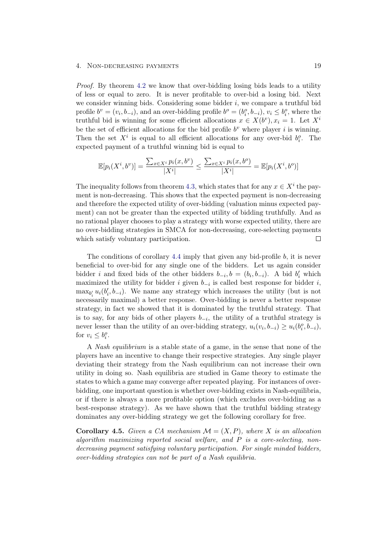#### 4. NON-DECREASING PAYMENTS 19

Proof. By theorem [4.2](#page-19-2) we know that over-bidding losing bids leads to a utility of less or equal to zero. It is never profitable to over-bid a losing bid. Next we consider winning bids. Considering some bidder  $i$ , we compare a truthful bid profile  $b^v = (v_i, b_{-i})$ , and an over-bidding profile  $b^o = (b_i^o, b_{-i})$ ,  $v_i \leq b_i^o$ , where the truthful bid is winning for some efficient allocations  $x \in X(b^v)$ ,  $x_i = 1$ . Let  $X^i$ be the set of efficient allocations for the bid profile  $b^v$  where player i is winning. Then the set  $X^i$  is equal to all efficient allocations for any over-bid  $b_i^o$ . The expected payment of a truthful winning bid is equal to

$$
\mathbb{E}[p_i(X^i, b^v)] = \frac{\sum_{x \in X^i} p_i(x, b^v)}{|X^i|} \le \frac{\sum_{x \in X^i} p_i(x, b^o)}{|X^i|} = \mathbb{E}[p_i(X^i, b^o)]
$$

The inequality follows from theorem [4.3,](#page-22-2) which states that for any  $x \in X^i$  the payment is non-decreasing. This shows that the expected payment is non-decreasing and therefore the expected utility of over-bidding (valuation minus expected payment) can not be greater than the expected utility of bidding truthfully. And as no rational player chooses to play a strategy with worse expected utility, there are no over-bidding strategies in SMCA for non-decreasing, core-selecting payments which satisfy voluntary participation.  $\Box$ 

The conditions of corollary [4.4](#page-22-1) imply that given any bid-profile b, it is never beneficial to over-bid for any single one of the bidders. Let us again consider bidder i and fixed bids of the other bidders  $b_{-i}, b = (b_i, b_{-i})$ . A bid  $b'_i$  which maximized the utility for bidder i given  $b_{-i}$  is called best response for bidder i,  $\max_{b_i'} u_i(b_i', b_{-i})$ . We name any strategy which increases the utility (but is not necessarily maximal) a better response. Over-bidding is never a better response strategy, in fact we showed that it is dominated by the truthful strategy. That is to say, for any bids of other players  $b_{-i}$ , the utility of a truthful strategy is never lesser than the utility of an over-bidding strategy,  $u_i(v_i, b_{-i}) \ge u_i(b_i^o, b_{-i}),$ for  $v_i \leq b_i^o$ .

A Nash equilibrium is a stable state of a game, in the sense that none of the players have an incentive to change their respective strategies. Any single player deviating their strategy from the Nash equilibrium can not increase their own utility in doing so. Nash equilibria are studied in Game theory to estimate the states to which a game may converge after repeated playing. For instances of overbidding, one important question is whether over-bidding exists in Nash-equilibria, or if there is always a more profitable option (which excludes over-bidding as a best-response strategy). As we have shown that the truthful bidding strategy dominates any over-bidding strategy we get the following corollary for free.

**Corollary 4.5.** Given a CA mechanism  $\mathcal{M} = (X, P)$ , where X is an allocation algorithm maximizing reported social welfare, and  $P$  is a core-selecting, nondecreasing payment satisfying voluntary participation. For single minded bidders, over-bidding strategies can not be part of a Nash equilibria.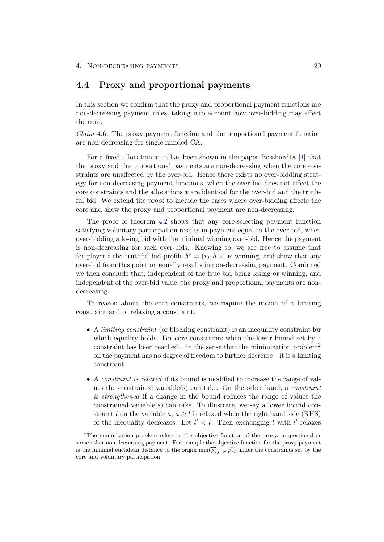## <span id="page-24-0"></span>4.4 Proxy and proportional payments

In this section we confirm that the proxy and proportional payment functions are non-decreasing payment rules, taking into account how over-bidding may affect the core.

<span id="page-24-2"></span>Claim 4.6. The proxy payment function and the proportional payment function are non-decreasing for single minded CA.

For a fixed allocation x, it has been shown in the paper Bosshard18 [\[4\]](#page-58-4) that the proxy and the proportional payments are non-decreasing when the core constraints are unaffected by the over-bid. Hence there exists no over-bidding strategy for non-decreasing payment functions, when the over-bid does not affect the core constraints and the allocations  $x$  are identical for the over-bid and the truthful bid. We extend the proof to include the cases where over-bidding affects the core and show the proxy and proportional payment are non-decreasing.

The proof of theorem [4.2](#page-19-2) shows that any core-selecting payment function satisfying voluntary participation results in payment equal to the over-bid, when over-bidding a losing bid with the minimal winning over-bid. Hence the payment is non-decreasing for such over-bids. Knowing so, we are free to assume that for player *i* the truthful bid profile  $b^v = (v_i, b_{-i})$  is winning, and show that any over-bid from this point on equally results in non-decreasing payment. Combined we then conclude that, independent of the true bid being losing or winning, and independent of the over-bid value, the proxy and proportional payments are nondecreasing.

To reason about the core constraints, we require the notion of a limiting constraint and of relaxing a constraint.

- A *limiting constraint* (or blocking constraint) is an inequality constraint for which equality holds. For core constraints when the lower bound set by a constraint has been reached – in the sense that the minimization problem<sup>[2](#page-24-1)</sup> on the payment has no degree of freedom to further decrease – it is a limiting constraint.
- A constraint is relaxed if its bound is modified to increase the range of values the constrained variable(s) can take. On the other hand, a *constraint* is strengthened if a change in the bound reduces the range of values the constrained variable(s) can take. To illustrate, we say a lower bound constraint l on the variable a,  $a > l$  is relaxed when the right hand side (RHS) of the inequality decreases. Let  $l' < l$ . Then exchanging l with l' relaxes

<span id="page-24-1"></span><sup>&</sup>lt;sup>2</sup>The minimization problem refers to the objective function of the proxy, proportional or some other non-decreasing payment. For example the objective function for the proxy payment is the minimal euclidean distance to the origin  $\min(\sum_{j\in N} p_j^2)$  under the constraints set by the core and voluntary participation.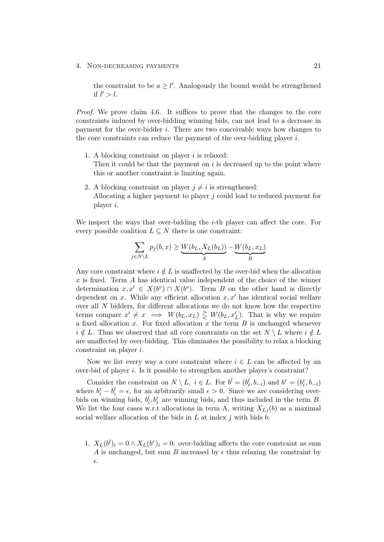the constraint to be  $a \geq l'$ . Analogously the bound would be strengthened if  $l' > l$ .

Proof. We prove claim [4.6.](#page-24-2) It suffices to prove that the changes to the core constraints induced by over-bidding winning bids, can not lead to a decrease in payment for the over-bidder  $i$ . There are two conceivable ways how changes to the core constraints can reduce the payment of the over-bidding player  $i$ .

- 1. A blocking constraint on player  $i$  is relaxed: Then it could be that the payment on  $i$  is decreased up to the point where this or another constraint is limiting again.
- 2. A blocking constraint on player  $j \neq i$  is strengthened: Allocating a higher payment to player j could lead to reduced payment for player i.

We inspect the ways that over-bidding the  $i$ -th player can affect the core. For every possible coalition  $L \subseteq N$  there is one constraint:

$$
\sum_{j \in N \setminus L} p_j(b, x) \ge \underbrace{W(b_L, X_L(b_L))}_{A} - \underbrace{W(b_L, x_L)}_{B}
$$

Any core constraint where  $i \notin L$  is unaffected by the over-bid when the allocation x is fixed. Term  $\tilde{A}$  has identical value independent of the choice of the winner determination  $x, x' \in X(b^v) \cap X(b^o)$ . Term B on the other hand is directly dependent on x. While any efficient allocation  $x, x'$  has identical social welfare over all N bidders, for different allocations we do not know how the respective terms compare  $x' \neq x \implies W(b_L, x_L) \geq W(b_L, x'_L)$ . That is why we require a fixed allocation  $x$ . For fixed allocation  $x$  the term  $B$  is unchanged whenever  $i \notin L$ . Thus we observed that all core constraints on the set  $N \setminus L$  where  $i \notin L$ are unaffected by over-bidding. This eliminates the possibility to relax a blocking constraint on player i.

Now we list every way a core constraint where  $i \in L$  can be affected by an over-bid of player i. Is it possible to strengthen another player's constraint?

Consider the constraint on  $N \setminus L$ ,  $i \in L$ . For  $b^l = (b_i^l, b_{-i})$  and  $b^r = (b_i^r, b_{-i})$ where  $b_i^r - b_i^l = \epsilon$ , for an arbitrarily small  $\epsilon > 0$ . Since we are considering overbids on winning bids,  $b_i^l, b_i^r$  are winning bids, and thus included in the term B. We list the four cases w.r.t allocations in term A, writing  $X_{Lj}(b)$  as a maximal social welfare allocation of the bids in  $L$  at index  $j$  with bids  $b$ :

1.  $X_L(b^l)_i = 0 \wedge X_L(b^r)_i = 0$ : over-bidding affects the core constraint as sum A is unchanged, but sum B increased by  $\epsilon$  thus relaxing the constraint by  $\epsilon$ .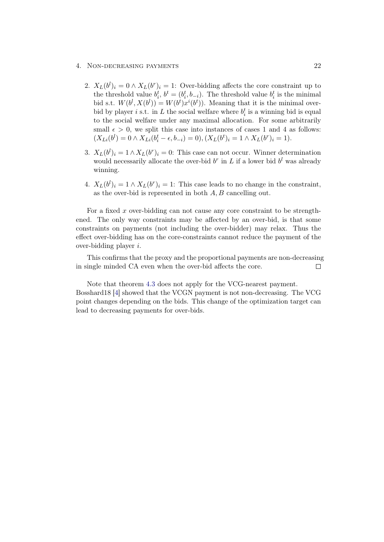#### 4. Non-decreasing payments 22

- 2.  $X_L(b^l)_i = 0 \wedge X_L(b^r)_i = 1$ : Over-bidding affects the core constraint up to the threshold value  $b_i^t$ ,  $b^t = (b_i^t, b_{-i})$ . The threshold value  $b_i^t$  is the minimal bid s.t.  $W(b^l, X(b^l)) = W(b^t) x^i(b^t)$ . Meaning that it is the minimal overbid by player *i* s.t. in L the social welfare where  $b_i^t$  is a winning bid is equal to the social welfare under any maximal allocation. For some arbitrarily small  $\epsilon > 0$ , we split this case into instances of cases 1 and 4 as follows:  $(X_{Li}(b^l) = 0 \wedge X_{Li}(b_i^t - \epsilon, b_{-i}) = 0), (X_L(b^t)_i = 1 \wedge X_L(b^r)_i = 1).$
- 3.  $X_L(b^l)_i = 1 \wedge X_L(b^r)_i = 0$ : This case can not occur. Winner determination would necessarily allocate the over-bid  $b^r$  in L if a lower bid  $b^l$  was already winning.
- 4.  $X_L(b^l)_i = 1 \wedge X_L(b^r)_i = 1$ : This case leads to no change in the constraint, as the over-bid is represented in both  $A, B$  cancelling out.

For a fixed x over-bidding can not cause any core constraint to be strengthened. The only way constraints may be affected by an over-bid, is that some constraints on payments (not including the over-bidder) may relax. Thus the effect over-bidding has on the core-constraints cannot reduce the payment of the over-bidding player i.

This confirms that the proxy and the proportional payments are non-decreasing in single minded CA even when the over-bid affects the core.  $\Box$ 

Note that theorem [4.3](#page-22-2) does not apply for the VCG-nearest payment. Bosshard18 [\[4\]](#page-58-4) showed that the VCGN payment is not non-decreasing. The VCG point changes depending on the bids. This change of the optimization target can lead to decreasing payments for over-bids.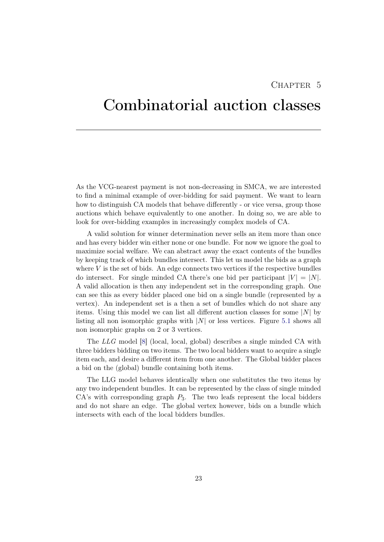## CHAPTER<sub>5</sub>

## <span id="page-27-0"></span>Combinatorial auction classes

As the VCG-nearest payment is not non-decreasing in SMCA, we are interested to find a minimal example of over-bidding for said payment. We want to learn how to distinguish CA models that behave differently - or vice versa, group those auctions which behave equivalently to one another. In doing so, we are able to look for over-bidding examples in increasingly complex models of CA.

A valid solution for winner determination never sells an item more than once and has every bidder win either none or one bundle. For now we ignore the goal to maximize social welfare. We can abstract away the exact contents of the bundles by keeping track of which bundles intersect. This let us model the bids as a graph where  $V$  is the set of bids. An edge connects two vertices if the respective bundles do intersect. For single minded CA there's one bid per participant  $|V| = |N|$ . A valid allocation is then any independent set in the corresponding graph. One can see this as every bidder placed one bid on a single bundle (represented by a vertex). An independent set is a then a set of bundles which do not share any items. Using this model we can list all different auction classes for some  $|N|$  by listing all non isomorphic graphs with  $|N|$  or less vertices. Figure [5.1](#page-28-0) shows all non isomorphic graphs on 2 or 3 vertices.

The LLG model [\[8\]](#page-58-8) (local, local, global) describes a single minded CA with three bidders bidding on two items. The two local bidders want to acquire a single item each, and desire a different item from one another. The Global bidder places a bid on the (global) bundle containing both items.

The LLG model behaves identically when one substitutes the two items by any two independent bundles. It can be represented by the class of single minded  $CA$ 's with corresponding graph  $P_3$ . The two leafs represent the local bidders and do not share an edge. The global vertex however, bids on a bundle which intersects with each of the local bidders bundles.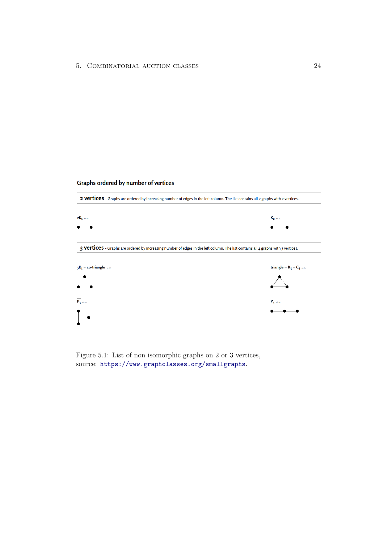#### Graphs ordered by number of vertices



<span id="page-28-0"></span>Figure 5.1: List of non isomorphic graphs on 2 or 3 vertices, source: <https://www.graphclasses.org/smallgraphs>.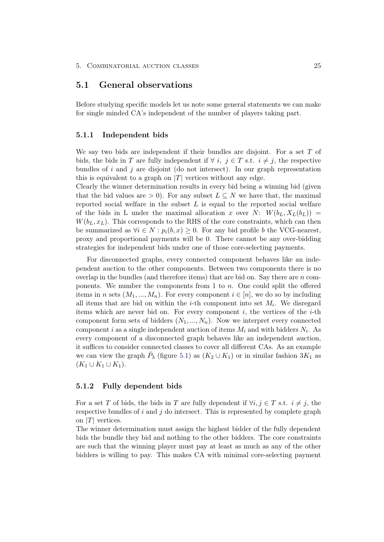### <span id="page-29-0"></span>5.1 General observations

Before studying specific models let us note some general statements we can make for single minded CA's independent of the number of players taking part.

#### <span id="page-29-1"></span>5.1.1 Independent bids

We say two bids are independent if their bundles are disjoint. For a set  $T$  of bids, the bids in T are fully independent if  $\forall i, j \in T$  s.t.  $i \neq j$ , the respective bundles of  $i$  and  $j$  are disjoint (do not intersect). In our graph representation this is equivalent to a graph on  $|T|$  vertices without any edge.

Clearly the winner determination results in every bid being a winning bid (given that the bid values are  $> 0$ ). For any subset  $L \subseteq N$  we have that, the maximal reported social welfare in the subset  $L$  is equal to the reported social welfare of the bids in L under the maximal allocation x over N:  $W(b_L, X_L(b_L))$  =  $W(b_L, x_L)$ . This corresponds to the RHS of the core constraints, which can then be summarized as  $\forall i \in N : p_i(b, x) \geq 0$ . For any bid profile b the VCG-nearest, proxy and proportional payments will be 0. There cannot be any over-bidding strategies for independent bids under one of those core-selecting payments.

For disconnected graphs, every connected component behaves like an independent auction to the other components. Between two components there is no overlap in the bundles (and therefore items) that are bid on. Say there are  $n$  components. We number the components from 1 to  $n$ . One could split the offered items in n sets  $(M_1, ..., M_n)$ . For every component  $i \in [n]$ , we do so by including all items that are bid on within the *i*-th component into set  $M_i$ . We disregard items which are never bid on. For every component  $i$ , the vertices of the  $i$ -th component form sets of bidders  $(N_1, ..., N_n)$ . Now we interpret every connected component i as a single independent auction of items  $M_i$  and with bidders  $N_i$ . As every component of a disconnected graph behaves like an independent auction, it suffices to consider connected classes to cover all different CAs. As an example we can view the graph  $\bar{P}_3$  (figure [5.1\)](#page-28-0) as  $(K_2 \cup K_1)$  or in similar fashion  $3K_1$  as  $(K_1 \cup K_1 \cup K_1).$ 

#### <span id="page-29-2"></span>5.1.2 Fully dependent bids

For a set T of bids, the bids in T are fully dependent if  $\forall i, j \in T$  s.t.  $i \neq j$ , the respective bundles of  $i$  and  $j$  do intersect. This is represented by complete graph on |T| vertices.

The winner determination must assign the highest bidder of the fully dependent bids the bundle they bid and nothing to the other bidders. The core constraints are such that the winning player must pay at least as much as any of the other bidders is willing to pay. This makes CA with minimal core-selecting payment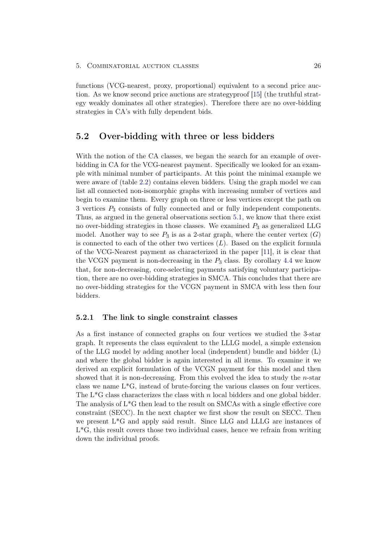functions (VCG-nearest, proxy, proportional) equivalent to a second price auction. As we know second price auctions are strategyproof [\[15\]](#page-59-5) (the truthful strategy weakly dominates all other strategies). Therefore there are no over-bidding strategies in CA's with fully dependent bids.

## <span id="page-30-0"></span>5.2 Over-bidding with three or less bidders

With the notion of the CA classes, we began the search for an example of overbidding in CA for the VCG-nearest payment. Specifically we looked for an example with minimal number of participants. At this point the minimal example we were aware of (table [2.2\)](#page-15-0) contains eleven bidders. Using the graph model we can list all connected non-isomorphic graphs with increasing number of vertices and begin to examine them. Every graph on three or less vertices except the path on 3 vertices P<sup>3</sup> consists of fully connected and or fully independent components. Thus, as argued in the general observations section [5.1,](#page-29-0) we know that there exist no over-bidding strategies in those classes. We examined  $P_3$  as generalized LLG model. Another way to see  $P_3$  is as a 2-star graph, where the center vertex  $(G)$ is connected to each of the other two vertices  $(L)$ . Based on the explicit formula of the VCG-Nearest payment as characterized in the paper [\[11\]](#page-59-1), it is clear that the VCGN payment is non-decreasing in the  $P_3$  class. By corollary [4.4](#page-22-1) we know that, for non-decreasing, core-selecting payments satisfying voluntary participation, there are no over-bidding strategies in SMCA. This concludes that there are no over-bidding strategies for the VCGN payment in SMCA with less then four bidders.

#### <span id="page-30-1"></span>5.2.1 The link to single constraint classes

As a first instance of connected graphs on four vertices we studied the 3-star graph. It represents the class equivalent to the LLLG model, a simple extension of the LLG model by adding another local (independent) bundle and bidder (L) and where the global bidder is again interested in all items. To examine it we derived an explicit formulation of the VCGN payment for this model and then showed that it is non-decreasing. From this evolved the idea to study the n-star class we name L\*G, instead of brute-forcing the various classes on four vertices. The L<sup>\*</sup>G class characterizes the class with n local bidders and one global bidder. The analysis of L\*G then lead to the result on SMCAs with a single effective core constraint (SECC). In the next chapter we first show the result on SECC. Then we present L\*G and apply said result. Since LLG and LLLG are instances of L\*G, this result covers those two individual cases, hence we refrain from writing down the individual proofs.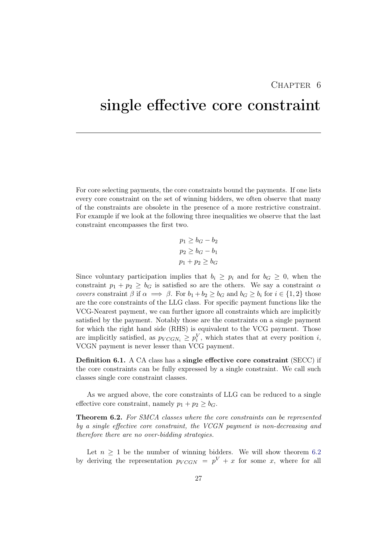## CHAPTER<sub>6</sub>

## <span id="page-31-0"></span>single effective core constraint

For core selecting payments, the core constraints bound the payments. If one lists every core constraint on the set of winning bidders, we often observe that many of the constraints are obsolete in the presence of a more restrictive constraint. For example if we look at the following three inequalities we observe that the last constraint encompasses the first two.

$$
p_1 \ge b_G - b_2
$$
  

$$
p_2 \ge b_G - b_1
$$
  

$$
p_1 + p_2 \ge b_G
$$

Since voluntary participation implies that  $b_i \geq p_i$  and for  $b_G \geq 0$ , when the constraint  $p_1 + p_2 \geq b_G$  is satisfied so are the others. We say a constraint  $\alpha$ covers constraint  $\beta$  if  $\alpha \implies \beta$ . For  $b_1 + b_2 \geq b_G$  and  $b_G \geq b_i$  for  $i \in \{1,2\}$  those are the core constraints of the LLG class. For specific payment functions like the VCG-Nearest payment, we can further ignore all constraints which are implicitly satisfied by the payment. Notably those are the constraints on a single payment for which the right hand side (RHS) is equivalent to the VCG payment. Those are implicitly satisfied, as  $p_{VCGN_i} \geq p_i^V$ , which states that at every position *i*, VCGN payment is never lesser than VCG payment.

Definition 6.1. A CA class has a single effective core constraint (SECC) if the core constraints can be fully expressed by a single constraint. We call such classes single core constraint classes.

As we argued above, the core constraints of LLG can be reduced to a single effective core constraint, namely  $p_1 + p_2 \geq b_G$ .

<span id="page-31-1"></span>**Theorem 6.2.** For SMCA classes where the core constraints can be represented by a single effective core constraint, the VCGN payment is non-decreasing and therefore there are no over-bidding strategies.

Let  $n \geq 1$  be the number of winning bidders. We will show theorem [6.2](#page-31-1) by deriving the representation  $p_{VCGN} = p^{V} + x$  for some x, where for all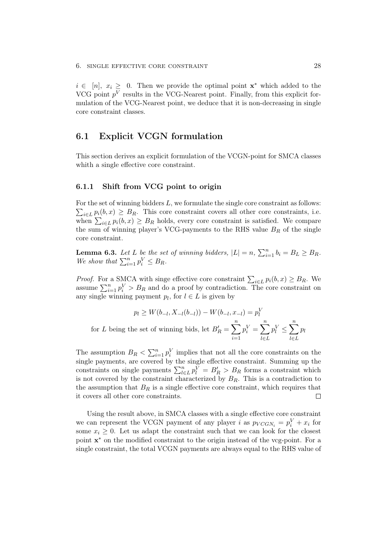$i \in [n], x_i \geq 0$ . Then we provide the optimal point  $\mathbf{x}^*$  which added to the VCG point  $p<sup>V</sup>$  results in the VCG-Nearest point. Finally, from this explicit formulation of the VCG-Nearest point, we deduce that it is non-decreasing in single core constraint classes.

### <span id="page-32-0"></span>6.1 Explicit VCGN formulation

This section derives an explicit formulation of the VCGN-point for SMCA classes whith a single effective core constraint.

#### <span id="page-32-1"></span>6.1.1 Shift from VCG point to origin

For the set of winning bidders  $L$ , we formulate the single core constraint as follows:  $\sum_{i\in L} p_i(b, x) \geq B_R$ . This core constraint covers all other core constraints, i.e. when  $\sum_{i\in L} p_i(b, x) \geq B_R$  holds, every core constraint is satisfied. We compare the sum of winning player's VCG-payments to the RHS value  $B_R$  of the single core constraint.

<span id="page-32-2"></span>**Lemma 6.3.** Let L be the set of winning bidders,  $|L| = n$ ,  $\sum_{i=1}^{n} b_i = B_L \geq B_R$ . We show that  $\sum_{i=1}^n p_i^V \leq B_R$ .

*Proof.* For a SMCA with singe effective core constraint  $\sum_{i\in L} p_i(b, x) \geq B_R$ . We assume  $\sum_{i=1}^{n} p_i^V > B_R$  and do a proof by contradiction. The core constraint on any single winning payment  $p_l$ , for  $l \in L$  is given by

$$
p_l \ge W(b_{-l}, X_{-l}(b_{-l})) - W(b_{-l}, x_{-l}) = p_l^V
$$
  
for *L* being the set of winning bids, let  $B'_R = \sum_{i=1}^n p_i^V = \sum_{l \in L}^n p_l^V \le \sum_{l \in L}^n p_l$ 

The assumption  $B_R < \sum_{i=1}^n p_i^V$  implies that not all the core constraints on the single payments, are covered by the single effective constraint. Summing up the constraints on single payments  $\sum_{l\in L}^{n} p_l^{\overline{V}} = B_R' > B_R$  forms a constraint which is not covered by the constraint characterized by  $B_R$ . This is a contradiction to the assumption that  $B_R$  is a single effective core constraint, which requires that it covers all other core constraints.  $\Box$ 

Using the result above, in SMCA classes with a single effective core constraint we can represent the VCGN payment of any player *i* as  $p_{VCGN_i} = p_i^V + x_i$  for some  $x_i \geq 0$ . Let us adapt the constraint such that we can look for the closest point  $\mathbf{x}^*$  on the modified constraint to the origin instead of the vcg-point. For a single constraint, the total VCGN payments are always equal to the RHS value of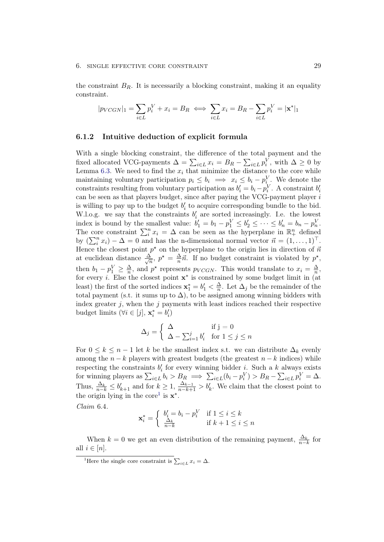the constraint  $B_R$ . It is necessarily a blocking constraint, making it an equality constraint.

$$
|p_{VCGN}|_1 = \sum_{i \in L} p_i^V + x_i = B_R \iff \sum_{i \in L} x_i = B_R - \sum_{i \in L} p_i^V = |\mathbf{x}^*|_1
$$

#### <span id="page-33-1"></span>6.1.2 Intuitive deduction of explicit formula

With a single blocking constraint, the difference of the total payment and the fixed allocated VCG-payments  $\Delta = \sum_{i \in L} x_i = B_R - \sum_{i \in L} p_i^V$ , with  $\Delta \geq 0$  by Lemma [6.3.](#page-32-2) We need to find the  $x_i$  that minimize the distance to the core while maintaining voluntary participation  $p_i \leq b_i \implies x_i \leq b_i - p_i^V$ . We denote the constraints resulting from voluntary participation as  $b'_i = b_i - p_i^V$ . A constraint  $b'_i$ can be seen as that players budget, since after paying the VCG-payment player i is willing to pay up to the budget  $b_i'$  to acquire corresponding bundle to the bid. W.l.o.g. we say that the constraints  $b_i$  are sorted increasingly. I.e. the lowest index is bound by the smallest value:  $b'_1 = b_1 - p_1^V \le b'_2 \le \cdots \le b'_n = b_n - p_n^V$ . The core constraint  $\sum_{i=1}^{n} x_i = \Delta$  can be seen as the hyperplane in  $\mathbb{R}^n_+$  defined by  $(\sum_i^n x_i) - \Delta = 0$  and has the n-dimensional normal vector  $\vec{n} = (1, \ldots, 1)^\top$ . Hence the closest point  $p^*$  on the hyperplane to the origin lies in direction of  $\vec{n}$ at euclidean distance  $\frac{\Delta}{\sqrt{2}}$  $rac{\Delta}{n}$ ,  $p^* = \frac{\Delta}{n}$  $\frac{\Delta}{n}\vec{n}$ . If no budget constraint is violated by  $p^*$ , then  $b_1 - p_1^V \geq \frac{\Delta}{n}$  $\frac{\Delta}{n}$ , and  $p^*$  represents  $p_{VCGN}$ . This would translate to  $x_i = \frac{\Delta}{n}$  $\frac{\Delta}{n},$ for every *i*. Else the closest point  $\mathbf{x}^*$  is constrained by some budget limit in (at least) the first of the sorted indices  $\mathbf{x}_1^* = b_1' < \frac{\Delta}{n}$  $\frac{\Delta}{n}$ . Let  $\Delta_j$  be the remainder of the total payment (s.t. it sums up to  $\Delta$ ), to be assigned among winning bidders with index greater  $j$ , when the  $j$  payments with least indices reached their respective budget limits ( $\forall i \in [j], \mathbf{x}_i^* = b_i'$ )

$$
\Delta_j = \begin{cases} \Delta & \text{if } j = 0\\ \Delta - \sum_{i=1}^j b_i' & \text{for } 1 \le j \le n \end{cases}
$$

For  $0 \leq k \leq n-1$  let k be the smallest index s.t. we can distribute  $\Delta_k$  evenly among the  $n - k$  players with greatest budgets (the greatest  $n - k$  indices) while respecting the constraints  $b'_i$  for every winning bidder *i*. Such a k always exists for winning players as  $\sum_{i \in L} b_i > B_R \implies \sum_{i \in L} (b_i - p_i^V) > B_R - \sum_{i \in L} p_i^V = \Delta$ . Thus,  $\frac{\Delta_k}{n-k} \leq b'_{k+1}$  and for  $k \geq 1$ ,  $\frac{\Delta_{k-1}}{n-k+1} > b'_k$ . We claim that the closest point to the origin lying in the core<sup>[1](#page-33-2)</sup> is  $\mathbf{x}^*$ .

<span id="page-33-0"></span>Claim 6.4.

$$
\mathbf{x}_i^* = \begin{cases} b_i' = b_i - p_i^V & \text{if } 1 \le i \le k \\ \frac{\Delta_k}{n-k} & \text{if } k+1 \le i \le n \end{cases}
$$

When  $k = 0$  we get an even distribution of the remaining payment,  $\frac{\Delta_k}{n-k}$  for all  $i \in [n]$ .

<span id="page-33-2"></span><sup>&</sup>lt;sup>1</sup>Here the single core constraint is  $\sum_{i \in L} x_i = \Delta$ .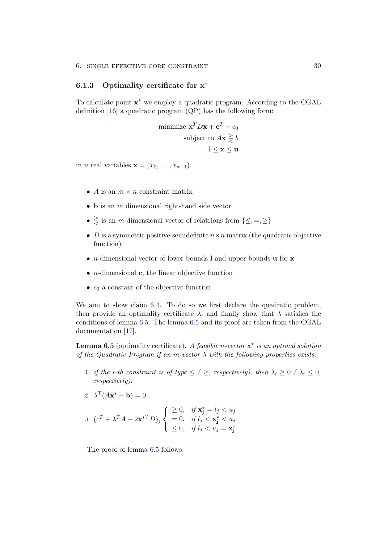### <span id="page-34-0"></span>6.1.3 Optimality certificate for x<sup>\*</sup>

To calculate point x<sup>\*</sup> we employ a quadratic program. According to the CGAL definition [\[16\]](#page-59-6) a quadratic program (QP) has the following form:

minimize 
$$
\mathbf{x}^T D\mathbf{x} + \mathbf{c}^T + c_0
$$
  
subject to  $A\mathbf{x} \geq b$   
 $1 \leq \mathbf{x} \leq \mathbf{u}$ 

in *n* real variables  $\mathbf{x} = (x_0, \ldots, x_{n-1}).$ 

- A is an  $m \times n$  constraint matrix
- $\bullet$  **b** is an *m* dimensional right-hand side vector
- $\geq$  is an m-dimensional vector of relatrions from  $\{\leq, =, \geq\}$
- D is a symmetric positive-semidefinite  $n \times n$  matrix (the quadratic objective function)
- *n*-dimensional vector of lower bounds **l** and upper bounds **u** for **x**
- *n*-dimensional **c**, the linear objective function
- $c_0$  a constant of the objective function

We aim to show claim [6.4.](#page-33-0) To do so we first declare the quadratic problem, then provide an optimality certificate  $\lambda$ , and finally show that  $\lambda$  satisfies the conditions of lemma [6.5.](#page-34-1) The lemma [6.5](#page-34-1) and its proof are taken from the CGAL documentation [\[17\]](#page-59-7).

<span id="page-34-1"></span>**Lemma 6.5** (optimality certificate). A feasible n-vector  $\mathbf{x}^*$  is an optimal solution of the Quadratic Program if an m-vector  $\lambda$  with the following properties exists.

1. if the i-th constraint is of type  $\leq$  ( $\geq$ , respectively), then  $\lambda_i \geq 0$  ( $\lambda_i \leq 0$ , respectively).

2. 
$$
\lambda^T (A \mathbf{x}^* - \mathbf{b}) = 0
$$

$$
3. \ \left(c^T + \lambda^T A + 2\mathbf{x}^{*T} D\right)_j \begin{cases} \geq 0, & \text{if } \mathbf{x}_j^* = l_j < u_j \\ = 0, & \text{if } l_j < \mathbf{x}_j^* < u_j \\ \leq 0, & \text{if } l_j < u_j = \mathbf{x}_j^* \end{cases}
$$

The proof of lemma [6.5](#page-34-1) follows.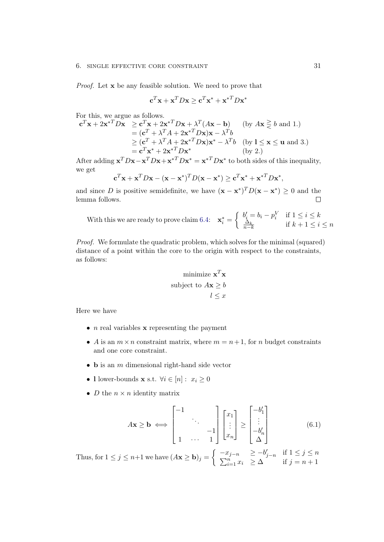#### 6. SINGLE EFFECTIVE CORE CONSTRAINT 31

Proof. Let x be any feasible solution. We need to prove that

$$
\mathbf{c}^T \mathbf{x} + \mathbf{x}^T D \mathbf{x} \ge \mathbf{c}^T \mathbf{x}^* + \mathbf{x}^{*T} D \mathbf{x}^*
$$

For this, we argue as follows.

$$
\mathbf{c}^T \mathbf{x} + 2\mathbf{x}^{*T} D\mathbf{x} \ge \mathbf{c}^T \mathbf{x} + 2\mathbf{x}^{*T} D\mathbf{x} + \lambda^T (A\mathbf{x} - \mathbf{b}) \quad \text{(by } A\mathbf{x} \ge b \text{ and } 1.)
$$
  
=  $(\mathbf{c}^T + \lambda^T A + 2\mathbf{x}^{*T} D\mathbf{x})\mathbf{x} - \lambda^T b$   
 $\ge (\mathbf{c}^T + \lambda^T A + 2\mathbf{x}^{*T} D\mathbf{x})\mathbf{x}^* - \lambda^T b \quad \text{(by } \mathbf{l} \le \mathbf{x} \le \mathbf{u} \text{ and } 3.)$   
=  $\mathbf{c}^T \mathbf{x}^* + 2\mathbf{x}^{*T} D\mathbf{x}^*$  (by 2.)

After adding  $\mathbf{x}^T D \mathbf{x} - \mathbf{x}^T D \mathbf{x} + \mathbf{x}^{*T} D \mathbf{x}^* = \mathbf{x}^{*T} D \mathbf{x}^*$  to both sides of this inequality, we get

$$
\mathbf{c}^T \mathbf{x} + \mathbf{x}^T D \mathbf{x} - (\mathbf{x} - \mathbf{x}^*)^T D (\mathbf{x} - \mathbf{x}^*) \geq \mathbf{c}^T \mathbf{x}^* + \mathbf{x}^{*T} D \mathbf{x}^*,
$$

and since D is positive semidefinite, we have  $(\mathbf{x} - \mathbf{x}^*)^T D(\mathbf{x} - \mathbf{x}^*) \geq 0$  and the lemma follows.  $\Box$ 

With this we are ready to prove claim 6.4: 
$$
\mathbf{x}_{i}^{*} = \begin{cases} b'_{i} = b_{i} - p_{i}^{V} & \text{if } 1 \leq i \leq k \\ \frac{\Delta_{k}}{n-k} & \text{if } k+1 \leq i \leq n \end{cases}
$$

Proof. We formulate the quadratic problem, which solves for the minimal (squared) distance of a point within the core to the origin with respect to the constraints, as follows:

minimize 
$$
\mathbf{x}^T \mathbf{x}
$$
  
subject to  $A\mathbf{x} \geq b$   
 $l \leq x$ 

Here we have

- $n$  real variables **x** representing the payment
- A is an  $m \times n$  constraint matrix, where  $m = n + 1$ , for n budget constraints and one core constraint.
- $\bullet$  **b** is an *m* dimensional right-hand side vector
- l lower-bounds **x** s.t.  $\forall i \in [n]: x_i \geq 0$
- *D* the  $n \times n$  identity matrix

$$
A\mathbf{x} \ge \mathbf{b} \iff \begin{bmatrix} -1 & & & \\ & \ddots & & \\ & & -1 & \\ 1 & \cdots & 1 \end{bmatrix} \begin{bmatrix} x_1 \\ \vdots \\ x_n \end{bmatrix} \ge \begin{bmatrix} -b'_1 \\ \vdots \\ -b'_n \\ \Delta \end{bmatrix}
$$
(6.1)

Thus, for  $1 \le j \le n+1$  we have  $(Ax \ge b)_j = \begin{cases} -x_{j-n} & \ge -b'_{j-n} & \text{if } 1 \le j \le n \ \sum_{j=n}^n & \ge \lambda \end{cases}$  $\sum_{i=1}^{n} x_i \geq \Delta$  if  $j = n + 1$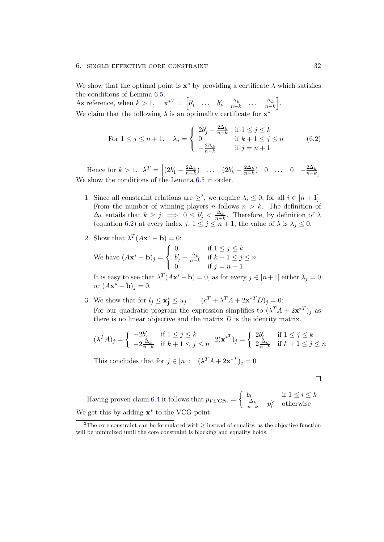#### 6. SINGLE EFFECTIVE CORE CONSTRAINT 32

We show that the optimal point is  $x^*$  by providing a certificate  $\lambda$  which satisfies the conditions of Lemma [6.5.](#page-34-1)

As reference, when  $k > 1$ ,  $\mathbf{x}^{*T} = \begin{bmatrix} b'_1 & \dots & b'_k & \frac{\Delta_k}{n-k} & \dots & \frac{\Delta_k}{n-k} \end{bmatrix}$ . We claim that the following  $\lambda$  is an optimality certificate for  $x^*$ 

<span id="page-36-1"></span>For 
$$
1 \le j \le n + 1
$$
,  $\lambda_j = \begin{cases} 2b'_j - \frac{2\Delta_k}{n-k} & \text{if } 1 \le j \le k \\ 0 & \text{if } k+1 \le j \le n \\ -\frac{2\Delta_k}{n-k} & \text{if } j = n+1 \end{cases}$  (6.2)

Hence for  $k > 1$ ,  $\lambda^T = \left[ (2b'_1 - \frac{2\Delta_k}{n-k}) \dots (2b'_k - \frac{2\Delta_k}{n-k}) \right] 0 \dots 0 - \frac{2\Delta_k}{n-k} \right]$ We show the conditions of the Lemma [6.5](#page-34-1) in order.

- 1. Since all constraint relations are  $\geq^2$  $\geq^2$ , we require  $\lambda_i \leq 0$ , for all  $i \in [n+1]$ . From the number of winning players n follows  $n > k$ . The definition of  $\Delta_k$  entails that  $k \geq j \implies 0 \leq b'_j < \frac{\Delta_k}{n-k}$ . Therefore, by definition of  $\lambda$ (equation [6.2\)](#page-36-1) at every index  $j, 1 \leq j \leq n+1$ , the value of  $\lambda$  is  $\lambda_j \leq 0$ .
- 2. Show that  $\lambda^T (A \mathbf{x}^* \mathbf{b}) = 0$ :

We have  $(Ax^* - b)_j =$  $\sqrt{ }$  $\left| \right|$  $\mathcal{L}$ 0 if  $1 \leq j \leq k$  $b'_j - \frac{\Delta_k}{n-k}$  if  $k+1 \leq j \leq n$ 0 if  $j = n + 1$ 

It is easy to see that  $\lambda^T (A \mathbf{x}^* - \mathbf{b}) = 0$ , as for every  $j \in [n+1]$  either  $\lambda_j = 0$ or  $(Ax^* - b)_j = 0$ .

3. We show that for  $l_j \leq \mathbf{x}_j^* \leq u_j : (c^T + \lambda^T A + 2\mathbf{x}^{*T} D)_j = 0$ : For our quadratic program the expression simplifies to  $(\lambda^T A + 2\mathbf{x}^{*T})_j$  as there is no linear objective and the matrix  $D$  is the identity matrix.

$$
(\lambda^T A)_j = \begin{cases} -2b'_j & \text{if } 1 \le j \le k \\ -2\frac{\Delta_k}{n-k} & \text{if } k+1 \le j \le n \end{cases} \quad 2(\mathbf{x}^{*T})_j = \begin{cases} 2b'_i & \text{if } 1 \le j \le k \\ 2\frac{\Delta_k}{n-k} & \text{if } k+1 \le j \le n \end{cases}
$$

This concludes that for  $j \in [n]$ :  $(\lambda^T A + 2\mathbf{x}^{*T})_j = 0$ 

$$
\Box
$$

Having proven claim [6.4](#page-33-0) it follows that  $p_{VCGN_i} = \begin{cases} b_i & \text{if } 1 \leq i \leq k \\ \frac{\Delta_k}{\sigma} + n^V & \text{otherwise} \end{cases}$  $\frac{\Delta_k}{n-k} + p_i^V$  otherwise We get this by adding  $\mathbf{x}^*$  to the VCG-point.

<span id="page-36-0"></span><sup>&</sup>lt;sup>2</sup>The core constraint can be formulated with  $\geq$  instead of equality, as the objective function will be minimized until the core constraint is blocking and equality holds.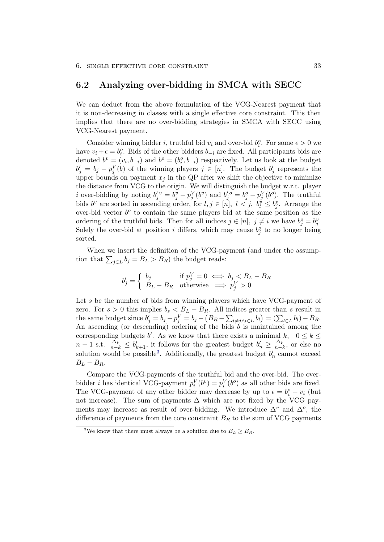### <span id="page-37-0"></span>6.2 Analyzing over-bidding in SMCA with SECC

We can deduct from the above formulation of the VCG-Nearest payment that it is non-decreasing in classes with a single effective core constraint. This then implies that there are no over-bidding strategies in SMCA with SECC using VCG-Nearest payment.

Consider winning bidder *i*, truthful bid  $v_i$  and over-bid  $b_i^o$ . For some  $\epsilon > 0$  we have  $v_i + \epsilon = b_i^o$ . Bids of the other bidders  $b_{-i}$  are fixed. All participants bids are denoted  $b^v = (v_i, b_{-i})$  and  $b^o = (b_i^o, b_{-i})$  respectively. Let us look at the budget  $b'_j = b_j - p_j^V(b)$  of the winning players  $j \in [n]$ . The budget  $b'_j$  represents the upper bounds on payment  $x_j$  in the QP after we shift the objective to minimize the distance from VCG to the origin. We will distinguish the budget w.r.t. player *i* over-bidding by noting  $b'_j{}^v = b_j^v - p_j^V(b^v)$  and  $b'_j{}^o = b_j^o - p_j^V(b^o)$ . The truthful bids  $b^v$  are sorted in ascending order, for  $l, j \in [n], l < j, b_l^v \leq b_j^v$ . Arrange the over-bid vector  $b^o$  to contain the same players bid at the same position as the ordering of the truthful bids. Then for all indices  $j \in [n]$ ,  $j \neq i$  we have  $b_j^o = b_j^v$ . Solely the over-bid at position i differs, which may cause  $b_j^o$  to no longer being sorted.

When we insert the definition of the VCG-payment (and under the assumption that  $\sum_{j\in L} b_j = B_L > B_R$ ) the budget reads:

$$
b'_j = \begin{cases} b_j & \text{if } p_j^V = 0 \iff b_j < B_L - B_R \\ B_L - B_R & \text{otherwise} \implies p_j^V > 0 \end{cases}
$$

Let  $s$  be the number of bids from winning players which have VCG-payment of zero. For  $s > 0$  this implies  $b_s < B_L - B_R$ . All indices greater than s result in the same budget since  $b'_j = b_j - p_j^V = b_j - (B_R - \sum_{l \neq j \wedge l \in L} b_l) = (\sum_{l \in L} b_l) - B_R$ . An ascending (or descending) ordering of the bids  $\tilde{b}$  is maintained among the corresponding budgets b'. As we know that there exists a minimal k,  $0 \leq k \leq$  $n-1$  s.t.  $\frac{\Delta_k}{n-k} \leq b'_{k+1}$ , it follows for the greatest budget  $b'_n \geq \frac{\Delta_k}{n-k}$ , or else no solution would be possible<sup>[3](#page-37-1)</sup>. Additionally, the greatest budget  $b'_n$  cannot exceed  $B_L - B_R$ .

Compare the VCG-payments of the truthful bid and the over-bid. The overbidder *i* has identical VCG-payment  $p_i^V(b^v) = p_i^V(b^o)$  as all other bids are fixed. The VCG-payment of any other bidder may decrease by up to  $\epsilon = b_i^o - v_i$  (but not increase). The sum of payments  $\Delta$  which are not fixed by the VCG payments may increase as result of over-bidding. We introduce  $\Delta^v$  and  $\Delta^o$ , the difference of payments from the core constraint  $B_R$  to the sum of VCG payments

<span id="page-37-1"></span><sup>&</sup>lt;sup>3</sup>We know that there must always be a solution due to  $B_L \geq B_R$ .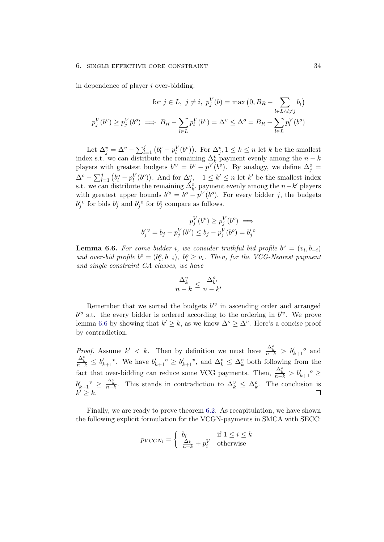in dependence of player i over-bidding.

$$
\text{for } j \in L, \ j \neq i, \ p_j^V(b) = \max\left(0, B_R - \sum_{l \in L \land l \neq j} b_l\right)
$$
\n
$$
p_j^V(b^v) \ge p_j^V(b^o) \implies B_R - \sum_{l \in L} p_l^V(b^v) = \Delta^v \le \Delta^o = B_R - \sum_{l \in L} p_l^V(b^o)
$$

Let  $\Delta_j^v = \Delta^v - \sum_{l=1}^j (b_l^v - p_l^V(b^v))$ . For  $\Delta_j^v, 1 \leq k \leq n$  let k be the smallest index s.t. we can distribute the remaining  $\Delta_k^v$  payment evenly among the  $n - k$ players with greatest budgets  $b'^v = b^v - p^V (b^v)$ . By analogy, we define  $\Delta_j^o =$  $\Delta^o - \sum_{l=1}^j (b_l^o - p_l^V(b^o))$ . And for  $\Delta_j^o$ ,  $1 \le k' \le n$  let  $k'$  be the smallest index s.t. we can distribute the remaining  $\Delta_{k'}^o$  payment evenly among the  $n-k'$  players with greatest upper bounds  $b^{o} = b^{o} - p^{V}(b^{o})$ . For every bidder j, the budgets  $b_j^{\prime v}$  for bids  $b_j^v$  and  $b_j^{\prime o}$  for  $b_j^o$  compare as follows.

$$
p_j^V(b^v) \ge p_j^V(b^o) \implies
$$
  

$$
b_j'^v = b_j - p_j^V(b^v) \le b_j - p_j^V(b^o) = b_j'^o
$$

<span id="page-38-0"></span>**Lemma 6.6.** For some bidder i, we consider truthful bid profile  $b^v = (v_i, b_{-i})$ and over-bid profile  $b^o = (b_i^o, b_{-i}), b_i^o \ge v_i$ . Then, for the VCG-Nearest payment and single constraint CA classes, we have

$$
\frac{\Delta^v_k}{n-k}\leq \frac{\Delta^o_{k'}}{n-k'}
$$

Remember that we sorted the budgets  $b^{\prime v}$  in ascending order and arranged  $b^{\prime o}$  s.t. the every bidder is ordered according to the ordering in  $b^{\prime o}$ . We prove lemma [6.6](#page-38-0) by showing that  $k' \geq k$ , as we know  $\Delta^o \geq \Delta^v$ . Here's a concise proof by contradiction.

*Proof.* Assume  $k' < k$ . Then by definition we must have  $\frac{\Delta_k^o}{n-k} > b'_{k+1}$  and  $\frac{\Delta_k^v}{n-k} \leq b'_{k+1}$ <sup>v</sup>. We have  $b'_{k+1}$ <sup>o</sup>  $\geq b'_{k+1}$ <sup>v</sup>, and  $\Delta_k^v \leq \Delta_k^o$  both following from the fact that over-bidding can reduce some VCG payments. Then,  $\frac{\Delta_k^o}{n-k} > b'_{k+1}$ <sup>o</sup> ≥  $b'_{k+1}$ <sup>v</sup>  $\geq \frac{\Delta_k^v}{n-k}$ . This stands in contradiction to  $\Delta_k^v \leq \Delta_k^o$ . The conclusion is  $k' \geq k$ .

Finally, we are ready to prove theorem [6.2.](#page-31-1) As recapitulation, we have shown the following explicit formulation for the VCGN-payments in SMCA with SECC:

$$
p_{VCGN_i} = \begin{cases} b_i & \text{if } 1 \le i \le k \\ \frac{\Delta_k}{n-k} + p_i^V & \text{otherwise} \end{cases}
$$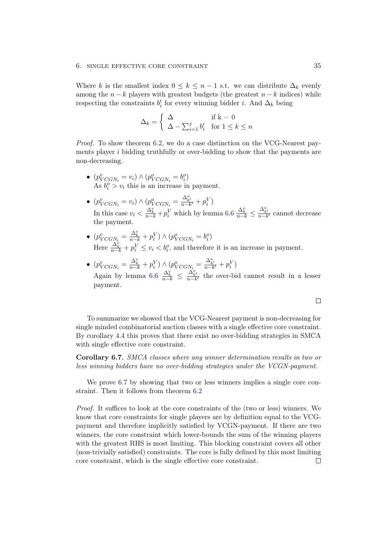#### 6. SINGLE EFFECTIVE CORE CONSTRAINT 35

Where k is the smallest index  $0 \leq k \leq n-1$  s.t. we can distribute  $\Delta_k$  evenly among the  $n - k$  players with greatest budgets (the greatest  $n - k$  indices) while respecting the constraints  $b_i'$  for every winning bidder *i*. And  $\Delta_k$  being

$$
\Delta_k = \begin{cases} \Delta & \text{if } k = 0\\ \Delta - \sum_{i=1}^j b'_i & \text{for } 1 \le k \le n \end{cases}
$$

Proof. To show theorem [6.2,](#page-31-1) we do a case distinction on the VCG-Nearest payments player  $i$  bidding truthfully or over-bidding to show that the payments are non-decreasing.

- $(p_{VCGN_i}^v = v_i) \wedge (p_{VCGN_i}^o = b_i^o)$ As  $b_i^o > v_i$  this is an increase in payment.
- $(p_{VCGN_i}^v = v_i) \wedge (p_{VCGN_i}^o = \frac{\Delta_{k'}^o}{n-k'} + p_i^V)$ In this case  $v_i < \frac{\Delta_k^v}{n-k} + p_i^V$  which by lemma [6.6](#page-38-0)  $\frac{\Delta_k^v}{n-k} \leq \frac{\Delta_{k'}^o}{n-k'}$  cannot decrease the payment.
- $(p_{VCGN_i}^v = \frac{\Delta_k^v}{n-k} + p_i^V) \wedge (p_{VCGN_i}^o = b_i^o)$ Here  $\frac{\Delta_k^k}{n-k} + p_i^V \le v_i < b_i^o$ , and therefore it is an increase in payment.
- $(p_{VCGN_i}^v = \frac{\Delta_k^v}{n-k} + p_i^V) \wedge (p_{VCGN_i}^o = \frac{\Delta_{k'}^o}{n-k'} + p_i^V)$ Again by lemma [6.6](#page-38-0)  $\frac{\Delta_k^v}{n-k} \leq \frac{\Delta_{k'}^o}{n-k'}$  the over-bid cannot result in a lesser payment.

 $\Box$ 

To summarize we showed that the VCG-Nearest payment is non-decreasing for single minded combinatorial auction classes with a single effective core constraint. By corollary [4.4](#page-22-1) this proves that there exist no over-bidding strategies in SMCA with single effective core constraint.

<span id="page-39-0"></span>Corollary 6.7. SMCA classes where any winner determination results in two or less winning bidders have no over-bidding strategies under the VCGN-payment.

We prove [6.7](#page-39-0) by showing that two or less winners implies a single core constraint. Then it follows from theorem [6.2](#page-31-1)

Proof. It suffices to look at the core constraints of the (two or less) winners. We know that core constraints for single players are by definition equal to the VCGpayment and therefore implicitly satisfied by VCGN-payment. If there are two winners, the core constraint which lower-bounds the sum of the winning players with the greatest RHS is most limiting. This blocking constraint covers all other (non-trivially satisfied) constraints. The core is fully defined by this most limiting core constraint, which is the single effective core constraint. $\Box$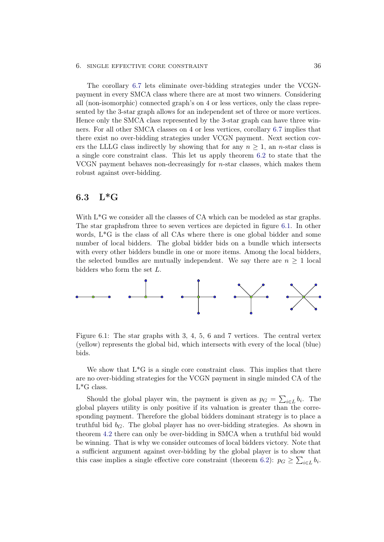#### 6. single effective core constraint 36

The corollary [6.7](#page-39-0) lets eliminate over-bidding strategies under the VCGNpayment in every SMCA class where there are at most two winners. Considering all (non-isomorphic) connected graph's on 4 or less vertices, only the class represented by the 3-star graph allows for an independent set of three or more vertices. Hence only the SMCA class represented by the 3-star graph can have three winners. For all other SMCA classes on 4 or less vertices, corollary [6.7](#page-39-0) implies that there exist no over-bidding strategies under VCGN payment. Next section covers the LLLG class indirectly by showing that for any  $n \geq 1$ , an *n*-star class is a single core constraint class. This let us apply theorem [6.2](#page-31-1) to state that the VCGN payment behaves non-decreasingly for n-star classes, which makes them robust against over-bidding.

## <span id="page-40-0"></span>6.3 L\*G

With  $L^*G$  we consider all the classes of CA which can be modeled as star graphs. The star graphsfrom three to seven vertices are depicted in figure [6.1.](#page-40-1) In other words, L\*G is the class of all CAs where there is one global bidder and some number of local bidders. The global bidder bids on a bundle which intersects with every other bidders bundle in one or more items. Among the local bidders, the selected bundles are mutually independent. We say there are  $n \geq 1$  local bidders who form the set L.



<span id="page-40-1"></span>Figure 6.1: The star graphs with 3, 4, 5, 6 and 7 vertices. The central vertex (yellow) represents the global bid, which intersects with every of the local (blue) bids.

We show that  $L^*G$  is a single core constraint class. This implies that there are no over-bidding strategies for the VCGN payment in single minded CA of the  $L^*G$  class.

Should the global player win, the payment is given as  $p_G = \sum_{i \in L} b_i$ . The global players utility is only positive if its valuation is greater than the corresponding payment. Therefore the global bidders dominant strategy is to place a truthful bid  $b_G$ . The global player has no over-bidding strategies. As shown in theorem [4.2](#page-19-2) there can only be over-bidding in SMCA when a truthful bid would be winning. That is why we consider outcomes of local bidders victory. Note that a sufficient argument against over-bidding by the global player is to show that this case implies a single effective core constraint (theorem [6.2\)](#page-31-1):  $p_G \ge \sum_{i \in L} b_i$ .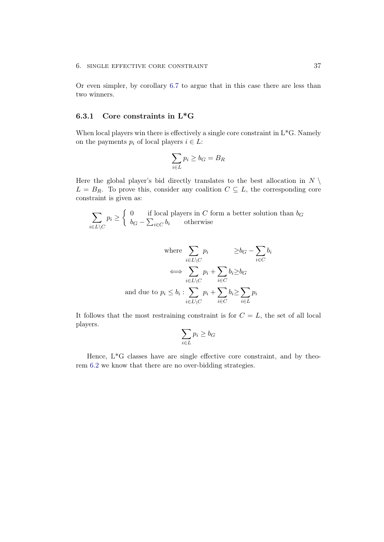Or even simpler, by corollary [6.7](#page-39-0) to argue that in this case there are less than two winners.

#### <span id="page-41-0"></span>6.3.1 Core constraints in L\*G

When local players win there is effectively a single core constraint in  $L^*G$ . Namely on the payments  $p_i$  of local players  $i \in L$ :

$$
\sum_{i \in L} p_i \geq b_G = B_R
$$

Here the global player's bid directly translates to the best allocation in  $N \setminus$  $L = B_R$ . To prove this, consider any coalition  $C \subseteq L$ , the corresponding core constraint is given as:

$$
\sum_{i \in L \setminus C} p_i \ge \begin{cases} 0 & \text{if local players in } C \text{ form a better solution than } b_G \\ b_G - \sum_{i \in C} b_i & \text{otherwise} \end{cases}
$$

where 
$$
\sum_{i \in L \setminus C} p_i \geq b_G - \sum_{i \in C} b_i
$$

$$
\iff \sum_{i \in L \setminus C} p_i + \sum_{i \in C} b_i \geq b_G
$$
and due to 
$$
p_i \leq b_i : \sum_{i \in L \setminus C} p_i + \sum_{i \in C} b_i \geq \sum_{i \in L} p_i
$$

It follows that the most restraining constraint is for  $C = L$ , the set of all local players.

$$
\sum_{i \in L} p_i \ge b_G
$$

Hence, L\*G classes have are single effective core constraint, and by theorem [6.2](#page-31-1) we know that there are no over-bidding strategies.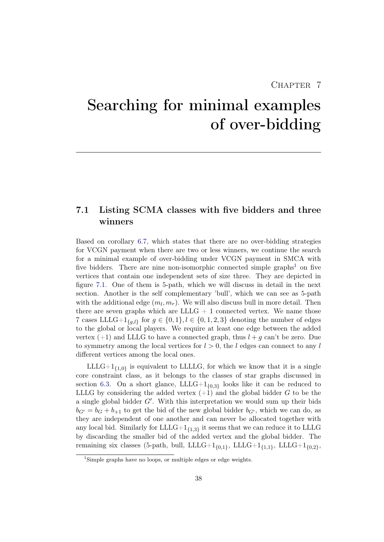## CHAPTER 7

# <span id="page-42-0"></span>Searching for minimal examples of over-bidding

## <span id="page-42-1"></span>7.1 Listing SCMA classes with five bidders and three winners

Based on corollary [6.7,](#page-39-0) which states that there are no over-bidding strategies for VCGN payment when there are two or less winners, we continue the search for a minimal example of over-bidding under VCGN payment in SMCA with five bidders. There are nine non-isomorphic connected simple graphs<sup>[1](#page-42-2)</sup> on five vertices that contain one independent sets of size three. They are depicted in figure [7.1.](#page-43-0) One of them is 5-path, which we will discuss in detail in the next section. Another is the self complementary 'bull', which we can see as 5-path with the additional edge  $(m_l, m_r)$ . We will also discuss bull in more detail. Then there are seven graphs which are  $LLLG + 1$  connected vertex. We name those 7 cases LLLG+ $1_{g,l}$  for  $g \in \{0,1\}, l \in \{0,1,2,3\}$  denoting the number of edges to the global or local players. We require at least one edge between the added vertex  $(+1)$  and LLLG to have a connected graph, thus  $l + q$  can't be zero. Due to symmetry among the local vertices for  $l > 0$ , the l edges can connect to any l different vertices among the local ones.

 $\text{LLLG+1}_{\{1,0\}}$  is equivalent to LLLLG, for which we know that it is a single core constraint class, as it belongs to the classes of star graphs discussed in section [6.3.](#page-40-0) On a short glance,  $LLLG+1_{0,3}$  looks like it can be reduced to LLLG by considering the added vertex  $(+1)$  and the global bidder G to be the a single global bidder  $G'$ . With this interpretation we would sum up their bids  $b_{G'} = b_G + b_{+1}$  to get the bid of the new global bidder  $b_{G'}$ , which we can do, as they are independent of one another and can never be allocated together with any local bid. Similarly for  $LLLG+1_{{1,3}}$  it seems that we can reduce it to LLLG by discarding the smaller bid of the added vertex and the global bidder. The remaining six classes (5-path, bull, LLLG+1 $_{\{0,1\}}$ , LLLG+1 $_{\{1,1\}}$ , LLLG+1 $_{\{0,2\}}$ ,

<span id="page-42-2"></span><sup>&</sup>lt;sup>1</sup>Simple graphs have no loops, or multiple edges or edge weights.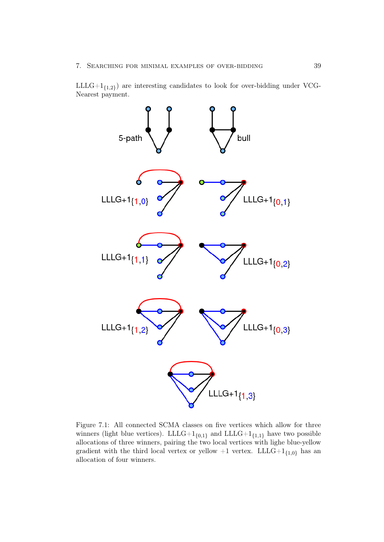$LLLG+1_{{1,2}}$  are interesting candidates to look for over-bidding under VCG-Nearest payment.



<span id="page-43-0"></span>Figure 7.1: All connected SCMA classes on five vertices which allow for three winners (light blue vertices). LLLG+ $1_{\{0,1\}}$  and LLLG+ $1_{\{1,1\}}$  have two possible allocations of three winners, pairing the two local vertices with lighe blue-yellow gradient with the third local vertex or yellow  $+1$  vertex.  ${\rm LLLG}+1_{\{1,0\}}$  has an allocation of four winners.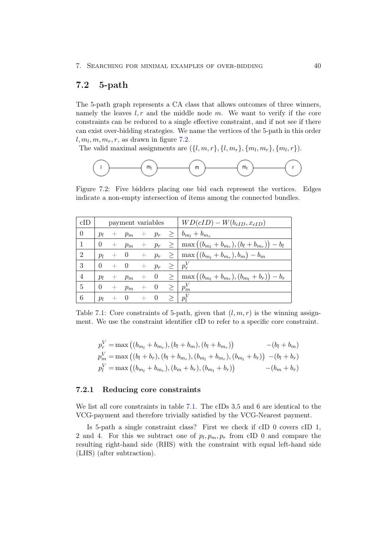## <span id="page-44-0"></span>7.2 5-path

The 5-path graph represents a CA class that allows outcomes of three winners, namely the leaves  $l, r$  and the middle node m. We want to verify if the core constraints can be reduced to a single effective constraint, and if not see if there can exist over-bidding strategies. We name the vertices of the 5-path in this order  $l, m_l, m, m_r, r$ , as drawn in figure [7.2.](#page-44-2)

The valid maximal assignments are  $(\{l, m, r\}, \{l, m_r\}, \{m_l, m_r\}, \{m_l, r\}).$ 

<span id="page-44-2"></span>

Figure 7.2: Five bidders placing one bid each represent the vertices. Edges indicate a non-empty intersection of items among the connected bundles.

| cID            |          |        | payment variables |       |              |   | $\mid WD(cID) - W(b_{cID}, x_{cID})\mid$                                                |
|----------------|----------|--------|-------------------|-------|--------------|---|-----------------------------------------------------------------------------------------|
| $\overline{0}$ | $p_l$    | $^{+}$ |                   |       |              |   | $p_m + p_r \geq  b_{m_l} + b_{m_r} $                                                    |
|                | $\Omega$ | $+$    | $p_m$             |       |              |   | $+ p_r \geq   \max((b_{m_l} + b_{m_r}), (b_l + b_{m_r})) - b_l$                         |
| $\overline{2}$ | $p_l$    |        |                   |       |              |   | $+ 0 + p_r \geq   \max((b_{m_l} + b_{m_r}), b_m) - b_m$                                 |
| 3              | $\Omega$ | $+ 0$  |                   |       | $+\quad p_r$ |   | $\geq$   $p_r^V$                                                                        |
| $\overline{4}$ | $p_l$    | $\pm$  | $p_m$             |       |              |   | $+ 0 \geq \left( \max\left( (b_{m_l} + b_{m_r}), (b_{m_l} + b_r) \right) - b_r \right)$ |
| 5              | $\Omega$ | $+$    | $p_m$             | $+ 0$ |              |   | $\geq$   $p_m^V$                                                                        |
| 6              | $p_l$    |        | $\overline{0}$    | $+ 0$ |              | > | $ p_l^V $                                                                               |

Table 7.1: Core constraints of 5-path, given that  $(l, m, r)$  is the winning assignment. We use the constraint identifier cID to refer to a specific core constraint.

<span id="page-44-3"></span>
$$
p_r^V = \max((b_{m_l} + b_{m_r}), (b_l + b_m), (b_l + b_{m_r})) - (b_l + b_m)
$$
  
\n
$$
p_m^V = \max((b_l + b_r), (b_l + b_{m_r}), (b_{m_l} + b_{m_r}), (b_{m_l} + b_r)) - (b_l + b_r)
$$
  
\n
$$
p_l^V = \max((b_{m_l} + b_{m_r}), (b_m + b_r), (b_{m_l} + b_r)) - (b_m + b_r)
$$

#### <span id="page-44-1"></span>7.2.1 Reducing core constraints

We list all core constraints in table [7.1.](#page-44-3) The cIDs 3,5 and 6 are identical to the VCG-payment and therefore trivially satisfied by the VCG-Nearest payment.

Is 5-path a single constraint class? First we check if cID 0 covers cID 1, 2 and 4. For this we subtract one of  $p_l, p_m, p_r$  from cID 0 and compare the resulting right-hand side (RHS) with the constraint with equal left-hand side (LHS) (after subtraction).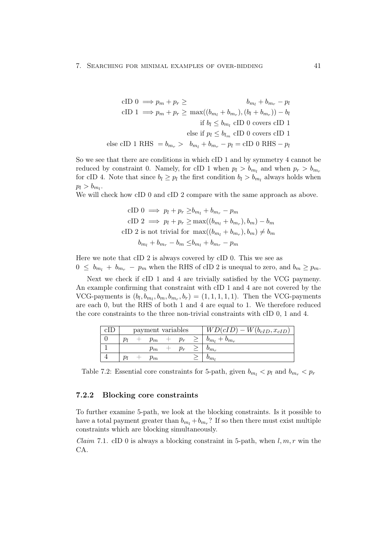cID 
$$
0 \implies p_m + p_r \geq b_{m_l} + b_{m_r} - p_l
$$
  
\ncID  $1 \implies p_m + p_r \geq \max((b_{m_l} + b_{m_r}), (b_l + b_{m_r})) - b_l$   
\nif  $b_l \leq b_{m_l}$  cID 0 covers cID 1  
\nelse if  $p_l \leq b_{l_m}$  cID 0 covers cID 1  
\nelse cID 1 RHS  $= b_{m_r} > b_{m_l} + b_{m_r} - p_l = cID 0$  RHS  $- p_l$ 

So we see that there are conditions in which cID 1 and by symmetry 4 cannot be reduced by constraint 0. Namely, for cID 1 when  $p_l > b_{m_l}$  and when  $p_r > b_{m_r}$ for cID 4. Note that since  $b_l \geq p_l$  the first condition  $b_l > b_{m_l}$  always holds when  $p_l > b_{m_l}.$ 

We will check how cID 0 and cID 2 compare with the same approach as above.

cID 
$$
0 \implies p_l + p_r \ge b_{m_l} + b_{m_r} - p_m
$$
  
\ncID  $2 \implies p_l + p_r \ge \max((b_{m_l} + b_{m_r}), b_m) - b_m$   
\ncID  $2$  is not trivial for  $\max((b_{m_l} + b_{m_r}), b_m) \ne b_m$   
\n $b_{m_l} + b_{m_r} - b_m \le b_{m_l} + b_{m_r} - p_m$ 

Here we note that cID 2 is always covered by cID 0. This we see as  $0 \leq b_{m_l} + b_{m_r} - p_m$  when the RHS of cID 2 is unequal to zero, and  $b_m \geq p_m$ .

Next we check if cID 1 and 4 are trivially satisfied by the VCG paymeny. An example confirming that constraint with cID 1 and 4 are not covered by the VCG-payments is  $(b_l, b_{m_l}, b_m, b_{m_r}, b_r) = (1, 1, 1, 1, 1)$ . Then the VCG-payments are each 0, but the RHS of both 1 and 4 are equal to 1. We therefore reduced the core constraints to the three non-trivial constraints with cID 0, 1 and 4.

| сIJ |    | payment variables |       | $\overline{WD(cID)}-W(b_{cID},x_{cID})$ |
|-----|----|-------------------|-------|-----------------------------------------|
|     | ĎΙ | $p_m$             | $p_r$ | $b_{m_l} + b_{m_r}$                     |
|     |    | $p_m$             |       | $v_{m_r}$                               |
|     |    | $p_m$             |       | $v_{m}$                                 |

Table 7.2: Essential core constraints for 5-path, given  $b_{m_l} < p_l$  and  $b_{m_r} < p_r$ 

#### <span id="page-45-0"></span>7.2.2 Blocking core constraints

To further examine 5-path, we look at the blocking constraints. Is it possible to have a total payment greater than  $b_{m_l} + b_{m_r}$ ? If so then there must exist multiple constraints which are blocking simultaneously.

<span id="page-45-1"></span>*Claim* 7.1. cID 0 is always a blocking constraint in 5-path, when  $l, m, r$  win the CA.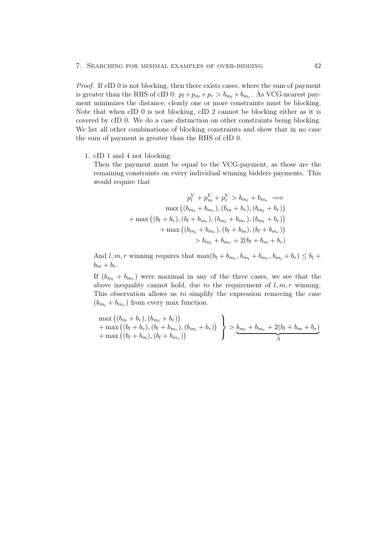#### 7. Searching for minimal examples of over-bidding 42

Proof. If cID 0 is not blocking, then there exists cases, where the sum of payment is greater than the RHS of cID 0:  $p_l + p_m + p_r > b_{m_l} + b_{m_r}$ . As VCG-nearest payment minimizes the distance, clearly one or more constraints must be blocking. Note that when cID 0 is not blocking, cID 2 cannot be blocking either as it is covered by cID 0. We do a case distinction on other constraints being blocking. We list all other combinations of blocking constraints and show that in no case the sum of payment is greater than the RHS of cID 0.

1. cID 1 and 4 not blocking:

Then the payment must be equal to the VCG-payment, as those are the remaining constraints on every individual winning bidders payments. This would require that

$$
p_l^V + p_m^V + p_r^V > b_{m_l} + b_{m_r} \implies
$$
  

$$
\max ((b_{m_l} + b_{m_r}), (b_m + b_r), (b_{m_l} + b_r))
$$
  

$$
+ \max ((b_l + b_r), (b_l + b_{m_r}), (b_{m_l} + b_{m_r}), (b_{m_l} + b_r))
$$
  

$$
+ \max ((b_{m_l} + b_{m_r}), (b_l + b_m), (b_l + b_{m_r}))
$$
  

$$
> b_{m_l} + b_{m_r} + 2(b_l + b_m + b_r)
$$

And  $l, m, r$  winning requires that  $\max(b_l + b_{m_r}, b_{m_l} + b_{m_r}, b_{m_l} + b_r) \leq b_l +$  $b_m + b_r$ .

If  $(b_{m_l} + b_{m_r})$  were maximal in any of the three cases, we see that the above inequality cannot hold, due to the requirement of  $l, m, r$  winning. This observation allows us to simplify the expression removing the case  $(b_{m_l} + b_{m_r})$  from every max function.

$$
\begin{array}{l}\n\max((b_m + b_r), (b_{m_l} + b_r)) \\
+\max((b_l + b_r), (b_l + b_{m_r}), (b_{m_l} + b_r)) \\
+\max((b_l + b_m), (b_l + b_{m_r}))\n\end{array}\n\bigg\} > \underbrace{b_{m_l} + b_{m_r} + 2(b_l + b_m + b_r)}_{A}
$$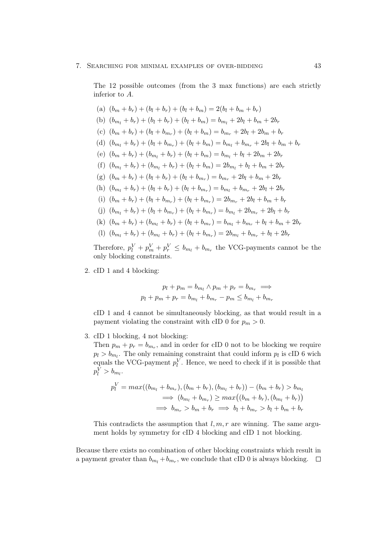The 12 possible outcomes (from the 3 max functions) are each strictly inferior to A.

(a)  $(b_m + b_r) + (b_l + b_r) + (b_l + b_m) = 2(b_l + b_m + b_r)$ (b)  $(b_m, + b_r) + (b_l + b_r) + (b_l + b_m) = b_{m_l} + 2b_l + b_m + 2b_r$ (c)  $(b_m + b_r) + (b_l + b_{m_r}) + (b_l + b_m) = b_{m_r} + 2b_l + 2b_m + b_r$ (d)  $(b_{m_l} + b_r) + (b_l + b_{m_r}) + (b_l + b_m) = b_{m_l} + b_{m_r} + 2b_l + b_m + b_r$ (e)  $(b_m + b_r) + (b_{m_l} + b_r) + (b_l + b_m) = b_{m_l} + b_l + 2b_m + 2b_r$ (f)  $(b_{m_1} + b_r) + (b_{m_2} + b_r) + (b_l + b_m) = 2b_{m_1} + b_l + b_m + 2b_r$ (g)  $(b_m + b_r) + (b_l + b_r) + (b_l + b_{m_r}) = b_{m_r} + 2b_l + b_m + 2b_r$ (h)  $(b_{m_l} + b_r) + (b_l + b_r) + (b_l + b_{m_r}) = b_{m_l} + b_{m_r} + 2b_l + 2b_r$ (i)  $(b_m + b_r) + (b_l + b_{m_r}) + (b_l + b_{m_r}) = 2b_{m_r} + 2b_l + b_m + b_r$ (j)  $(b_{m_l} + b_r) + (b_l + b_{m_r}) + (b_l + b_{m_r}) = b_{m_l} + 2b_{m_r} + 2b_l + b_r$ (k)  $(b_m + b_r) + (b_{m_l} + b_r) + (b_l + b_{m_r}) = b_{m_l} + b_{m_r} + b_l + b_m + 2b_r$ (l)  $(b_{m_l} + b_r) + (b_{m_l} + b_r) + (b_l + b_{m_r}) = 2b_{m_l} + b_{m_r} + b_l + 2b_r$ 

Therefore,  $p_l^V + p_m^V + p_r^V \le b_{m_l} + b_{m_r}$  the VCG-payments cannot be the only blocking constraints.

2. cID 1 and 4 blocking:

$$
p_l + p_m = b_{m_l} \wedge p_m + p_r = b_{m_r} \implies
$$
  

$$
p_l + p_m + p_r = b_{m_l} + b_{m_r} - p_m \le b_{m_l} + b_{m_r}
$$

cID 1 and 4 cannot be simultaneously blocking, as that would result in a payment violating the constraint with cID 0 for  $p_m > 0$ .

3. cID 1 blocking, 4 not blocking:

Then  $p_m + p_r = b_{m_r}$ , and in order for cID 0 not to be blocking we require  $p_l > b_{m_l}$ . The only remaining constraint that could inform  $p_l$  is cID 6 wich equals the VCG-payment  $p_l^V$ . Hence, we need to check if it is possible that  $p_l^V > b_{m_l}.$ 

$$
p_l^V = max((b_{m_l} + b_{m_r}), (b_{m_l} + b_r), (b_{m_l} + b_r)) - (b_m + b_r) > b_{m_l}
$$
  
\n
$$
\implies (b_{m_l} + b_{m_r}) \ge max((b_m + b_r), (b_{m_l} + b_r))
$$
  
\n
$$
\implies b_{m_r} > b_m + b_r \implies b_l + b_{m_r} > b_l + b_m + b_r
$$

This contradicts the assumption that  $l, m, r$  are winning. The same argument holds by symmetry for cID 4 blocking and cID 1 not blocking.

Because there exists no combination of other blocking constraints which result in a payment greater than  $b_{m_l} + b_{m_r}$ , we conclude that cID 0 is always blocking.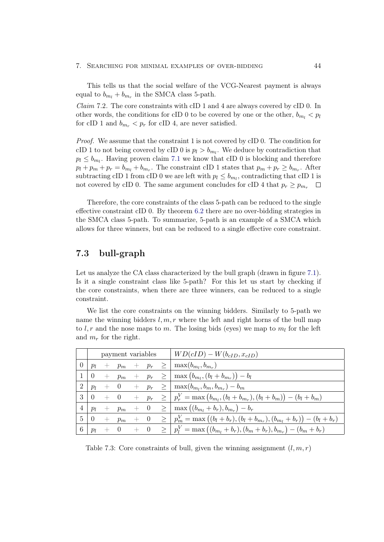#### 7. Searching for minimal examples of over-bidding 44

This tells us that the social welfare of the VCG-Nearest payment is always equal to  $b_{m_l} + b_{m_r}$  in the SMCA class 5-path.

*Claim* 7.2. The core constraints with cID 1 and 4 are always covered by cID 0. In other words, the conditions for cID 0 to be covered by one or the other,  $b_{m_l} < p_l$ for cID 1 and  $b_{m_r} < p_r$  for cID 4, are never satisfied.

Proof. We assume that the constraint 1 is not covered by cID 0. The condition for cID 1 to not being covered by cID 0 is  $p_l > b_{m_l}$ . We deduce by contradiction that  $p_l \leq b_{m_l}$ . Having proven claim [7.1](#page-45-1) we know that cID 0 is blocking and therefore  $p_l + p_m + p_r = b_{m_l} + b_{m_r}$ . The constraint cID 1 states that  $p_m + p_r \ge b_{m_r}$ . After subtracting cID 1 from cID 0 we are left with  $p_l \leq b_{m_l}$ , contradicting that cID 1 is not covered by cID 0. The same argument concludes for cID 4 that  $p_r \geq p_{m_r}$  $\Box$ 

Therefore, the core constraints of the class 5-path can be reduced to the single effective constraint cID 0. By theorem [6.2](#page-31-1) there are no over-bidding strategies in the SMCA class 5-path. To summarize, 5-path is an example of a SMCA which allows for three winners, but can be reduced to a single effective core constraint.

## <span id="page-48-0"></span>7.3 bull-graph

Let us analyze the CA class characterized by the bull graph (drawn in figure [7.1\)](#page-43-0). Is it a single constraint class like 5-path? For this let us start by checking if the core constraints, when there are three winners, can be reduced to a single constraint.

We list the core constraints on the winning bidders. Similarly to 5-path we name the winning bidders  $l, m, r$  where the left and right horns of the bull map to  $l, r$  and the nose maps to m. The losing bids (eyes) we map to  $m_l$  for the left and  $m_r$  for the right.

|                |                                             |                                               |  |  | payment variables $\vert W D(cID) - W(b_{cID}, x_{cID}) \vert$                                                                                |
|----------------|---------------------------------------------|-----------------------------------------------|--|--|-----------------------------------------------------------------------------------------------------------------------------------------------|
| $\overline{0}$ |                                             |                                               |  |  | $p_l + p_m + p_r \geq   \max(b_{m_l}, b_{m_r}) $                                                                                              |
|                | $\begin{array}{ c c } \hline 0 \end{array}$ |                                               |  |  | $p_m + p_m + p_r \geq   \max(b_{m_l}, (b_l + b_{m_r})) - b_l  $                                                                               |
| $2^{\circ}$    |                                             |                                               |  |  | $\begin{array}{ l c c c c }\np_l & + & 0 & + & p_r & \geq & \max(b_{m_l},b_{m_r},b_{m_r})-b_m\n\end{array}$                                   |
| $\mathcal{E}$  | $\overline{0}$                              |                                               |  |  | $\begin{array}{cccc} + & 0 & + & p_r & \geq & p_r^V = \max\left(b_{m_l},(b_l+b_{m_r}),(b_l+b_m)\right) - \left(b_l+b_m\right) \end{array}$    |
| 4 <sup>1</sup> |                                             |                                               |  |  | $\begin{array}{ l c c c c }\np_l & + & p_m & + & 0 & \geq \displaystyle \mid \max \left( (b_{m_l} + b_r), b_{m_r} \right) - b_r\n\end{array}$ |
| 5 <sup>1</sup> | $\overline{0}$                              |                                               |  |  | $p_1 + p_m + 0 \geq p_m^V = \max((b_l + b_r), (b_l + b_{m_r}), (b_{m_l} + b_r)) - (b_l + b_r)$                                                |
| 6              |                                             | $\begin{array}{cccc} p_l & + & 0 \end{array}$ |  |  | $+ 0 \geq p_l^V = \max((b_{m_l} + b_r), (b_m + b_r), b_{m_r}) - (b_m + b_r)$                                                                  |

Table 7.3: Core constraints of bull, given the winning assignment  $(l, m, r)$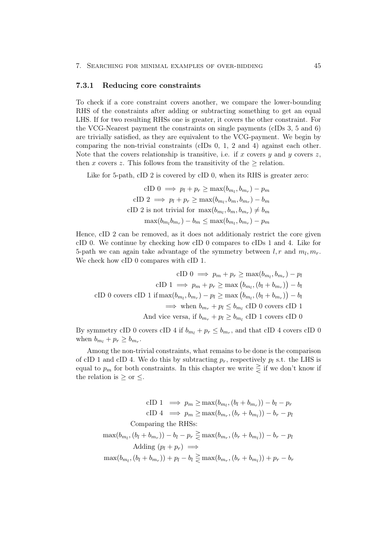#### <span id="page-49-0"></span>7.3.1 Reducing core constraints

To check if a core constraint covers another, we compare the lower-bounding RHS of the constraints after adding or subtracting something to get an equal LHS. If for two resulting RHSs one is greater, it covers the other constraint. For the VCG-Nearest payment the constraints on single payments (cIDs 3, 5 and 6) are trivially satisfied, as they are equivalent to the VCG-payment. We begin by comparing the non-trivial constraints (cIDs 0, 1, 2 and 4) against each other. Note that the covers relationship is transitive, i.e. if x covers y and y covers z, then x covers z. This follows from the transitivity of the  $\geq$  relation.

Like for 5-path, cID 2 is covered by cID 0, when its RHS is greater zero:

cID 
$$
0 \implies p_l + p_r \ge \max(b_{m_l}, b_{m_r}) - p_m
$$
  
\ncID  $2 \implies p_l + p_r \ge \max(b_{m_l}, b_m, b_{m_r}) - b_m$   
\ncID  $2$  is not trivial for  $\max(b_{m_l}, b_m, b_{m_r}) \ne b_m$   
\n $\max(b_{m_l} b_{m_r}) - b_m \le \max(b_{m_l}, b_{m_r}) - p_m$ 

Hence, cID 2 can be removed, as it does not additionaly restrict the core given cID 0. We continue by checking how cID 0 compares to cIDs 1 and 4. Like for 5-path we can again take advantage of the symmetry between  $l, r$  and  $m_l, m_r$ . We check how cID 0 compares with cID 1.

$$
\text{cID } 0 \implies p_m + p_r \ge \max(b_{m_l}, b_{m_r}) - p_l
$$
\n
$$
\text{cID } 1 \implies p_m + p_r \ge \max(b_{m_l}, (b_l + b_{m_r})) - b_l
$$
\n
$$
\text{cID } 0 \text{ covers } \text{cID } 1 \text{ if } \max(b_{m_l}, b_{m_r}) - p_l \ge \max(b_{m_l}, (b_l + b_{m_r})) - b_l
$$
\n
$$
\implies \text{when } b_{m_r} + p_l \le b_{m_l} \text{ cID } 0 \text{ covers } \text{cID } 1
$$
\n
$$
\text{And vice versa, if } b_{m_r} + p_l \ge b_{m_l} \text{ cID } 1 \text{ covers } \text{cID } 0
$$

By symmetry cID 0 covers cID 4 if  $b_{m_l} + p_r \leq b_{m_r}$ , and that cID 4 covers cID 0 when  $b_{m_l} + p_r \geq b_{m_r}$ .

Among the non-trivial constraints, what remains to be done is the comparison of cID 1 and cID 4. We do this by subtracting  $p_r$ , respectively  $p_l$  s.t. the LHS is equal to  $p_m$  for both constraints. In this chapter we write  $\geq$  if we don't know if the relation is  $\geq$  or  $\leq$ .

$$
\text{cID 1} \implies p_m \ge \max(b_{m_l}, (b_l + b_{m_r})) - b_l - p_r
$$
\n
$$
\text{cID 4} \implies p_m \ge \max(b_{m_r}, (b_r + b_{m_l})) - b_r - p_l
$$
\n
$$
\text{Comparing the RHSs:}
$$
\n
$$
\max(b_{m_l}, (b_l + b_{m_r})) - b_l - p_r \ge \max(b_{m_r}, (b_r + b_{m_l})) - b_r - p_l
$$
\n
$$
\text{Adding } (p_l + p_r) \implies
$$
\n
$$
\max(b_{m_l}, (b_l + b_{m_r})) + p_l - b_l \ge \max(b_{m_r}, (b_r + b_{m_l})) + p_r - b_r
$$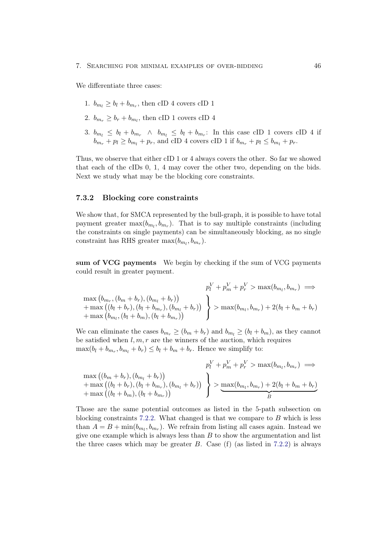We differentiate three cases:

- 1.  $b_{m_l} \ge b_l + b_{m_r}$ , then cID 4 covers cID 1
- 2.  $b_{m_r} \geq b_r + b_{m_l}$ , then cID 1 covers cID 4
- 3.  $b_{m_l} \leq b_l + b_{m_r} \wedge b_{m_l} \leq b_l + b_{m_r}$ : In this case cID 1 covers cID 4 if  $b_{m_r} + p_l \ge b_{m_l} + p_r$ , and cID 4 covers cID 1 if  $b_{m_r} + p_l \le b_{m_l} + p_r$ .

Thus, we observe that either cID 1 or 4 always covers the other. So far we showed that each of the cIDs 0, 1, 4 may cover the other two, depending on the bids. Next we study what may be the blocking core constraints.

#### <span id="page-50-0"></span>7.3.2 Blocking core constraints

We show that, for SMCA represented by the bull-graph, it is possible to have total payment greater  $\max(b_{m_l}, b_{m_r})$ . That is to say multiple constraints (including the constraints on single payments) can be simultaneously blocking, as no single constraint has RHS greater  $\max(b_{m_l}, b_{m_r})$ .

sum of VCG payments We begin by checking if the sum of VCG payments could result in greater payment.

$$
p_l^V + p_m^V + p_r^V > \max(b_{m_l}, b_{m_r}) \implies
$$
  
\n
$$
+ \max((b_{l} + b_r), (b_{l} + b_{m_r}), (b_{m_l} + b_r)) + \max(b_{m_l}, (b_{l} + b_{m_r}), (b_{l} + b_{m_r}))
$$
  
\n
$$
+ \max(b_{m_l}, (b_{l} + b_{m_l}), (b_{l} + b_{m_r}))
$$

We can eliminate the cases  $b_{m_r} \ge (b_m + b_r)$  and  $b_{m_l} \ge (b_l + b_m)$ , as they cannot be satisfied when  $l, m, r$  are the winners of the auction, which requires  $\max(b_l + b_{m_r}, b_{m_l} + b_r) \leq b_l + b_m + b_r$ . Hence we simplify to:

$$
p_l^V + p_m^V + p_r^V > \max(b_{m_l}, b_{m_r}) \implies
$$
  
\n
$$
+ \max((b_l + b_r), (b_{m_l} + b_r)) + \max((b_l + b_m), (b_l + b_{m_r}), (b_{m_l} + b_r))
$$
  
\n
$$
+ \max((b_l + b_m), (b_l + b_{m_r}))
$$

 $\ddot{\phantom{0}}$ 

Those are the same potential outcomes as listed in the 5-path subsection on blocking constraints  $7.2.2$ . What changed is that we compare to B which is less than  $A = B + \min(b_{m_l}, b_{m_r})$ . We refrain from listing all cases again. Instead we give one example which is always less than  $B$  to show the argumentation and list the three cases which may be greater  $B$ . Case (f) (as listed in [7.2.2\)](#page-45-0) is always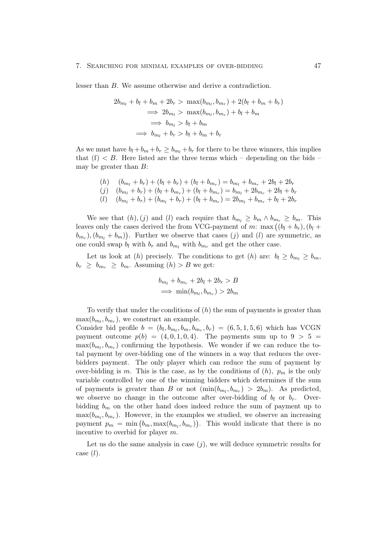lesser than B. We assume otherwise and derive a contradiction.

$$
2b_{m_l} + b_l + b_m + 2b_r > \max(b_{m_l}, b_{m_r}) + 2(b_l + b_m + b_r)
$$
  
\n
$$
\implies 2b_{m_l} > \max(b_{m_l}, b_{m_r}) + b_l + b_m
$$
  
\n
$$
\implies b_{m_l} > b_l + b_m
$$
  
\n
$$
\implies b_{m_l} + b_r > b_l + b_m + b_r
$$

As we must have  $b_l + b_m + b_r \ge b_{m_l} + b_r$  for there to be three winners, this implies that  $(f) < B$ . Here listed are the three terms which – depending on the bids – may be greater than B:

$$
(h) \quad (b_{m_l} + b_r) + (b_l + b_r) + (b_l + b_{m_r}) = b_{m_l} + b_{m_r} + 2b_l + 2b_r
$$
  

$$
(j) \quad (b_{m_l} + b_r) + (b_l + b_{m_r}) + (b_l + b_{m_r}) = b_{m_l} + 2b_{m_r} + 2b_l + b_r
$$
  

$$
(l) \quad (b_{m_l} + b_r) + (b_{m_l} + b_r) + (b_l + b_{m_r}) = 2b_{m_l} + b_{m_r} + b_l + 2b_r
$$

We see that  $(h),(j)$  and  $(l)$  each require that  $b_{m_l} \geq b_m \wedge b_{m_r} \geq b_m$ . This leaves only the cases derived the from VCG-payment of m: max  $((b_l + b_r), (b_l +$  $(b_{m_r}), (b_{m_l} + b_m)).$  Further we observe that cases (j) and (l) are symmetric, as one could swap  $b_l$  with  $b_r$  and  $b_{m_l}$  with  $b_{m_r}$  and get the other case.

Let us look at (h) precisely. The conditions to get (h) are:  $b_l \geq b_{m_l} \geq b_m$ ,  $b_r \geq b_{m_r} \geq b_m$ . Assuming  $(h) > B$  we get:

$$
b_{m_l} + b_{m_r} + 2b_l + 2b_r > B
$$
  

$$
\implies \min(b_{m_l}, b_{m_r}) > 2b_m
$$

To verify that under the conditions of  $(h)$  the sum of payments is greater than  $\max(b_{m_l}, b_{m_r}),$  we construct an example.

Consider bid profile  $b = (b_l, b_{m_l}, b_m, b_{m_r}, b_r) = (6, 5, 1, 5, 6)$  which has VCGN payment outcome  $p(b) = (4, 0, 1, 0, 4)$ . The payments sum up to  $9 > 5 =$  $\max(b_{m_l}, b_{m_r})$  confirming the hypothesis. We wonder if we can reduce the total payment by over-bidding one of the winners in a way that reduces the overbidders payment. The only player which can reduce the sum of payment by over-bidding is m. This is the case, as by the conditions of  $(h)$ ,  $p_m$  is the only variable controlled by one of the winning bidders which determines if the sum of payments is greater than B or not  $(\min(b_{m_l}, b_{m_r}) > 2b_m)$ . As predicted, we observe no change in the outcome after over-bidding of  $b_l$  or  $b_r$ . Overbidding  $b_m$  on the other hand does indeed reduce the sum of payment up to  $\max(b_{m_l}, b_{m_r})$ . However, in the examples we studied, we observe an increasing payment  $p_m = \min (b_m, \max(b_{m_l}, b_{m_r}))$ . This would indicate that there is no incentive to overbid for player m.

Let us do the same analysis in case  $(i)$ , we will deduce symmetric results for case  $(l)$ .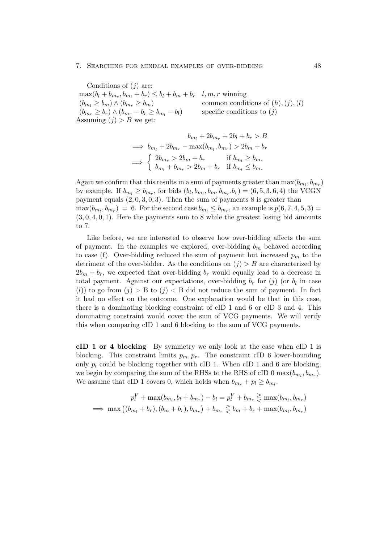#### 7. Searching for minimal examples of over-bidding 48

Conditions of  $(i)$  are:  $\max(b_l + b_{m_r}, b_{m_l} + b_r) \leq b_l + b_m + b_r \quad l, m, r \text{ winning}$  $(b_{m_l} \ge b_m) \wedge (b_{m_r} \ge b_m)$  common conditions of  $(h), (j), (l)$  $(b_{m_r} \geq b_r) \wedge (b_{m_r} - b_r \geq b_{m_l} - b_l)$  specific conditions to (j) Assuming  $(j) > B$  we get:

$$
b_{m_l} + 2b_{m_r} + 2b_l + b_r > B
$$
  
\n
$$
\implies b_{m_l} + 2b_{m_r} - \max(b_{m_l}, b_{m_r}) > 2b_m + b_r
$$
  
\n
$$
\implies \begin{cases} 2b_{m_r} > 2b_m + b_r & \text{if } b_{m_l} \ge b_{m_r} \\ b_{m_l} + b_{m_r} > 2b_m + b_r & \text{if } b_{m_l} \le b_{m_r} \end{cases}
$$

Again we confirm that this results in a sum of payments greater than  $\max(b_{m_l}, b_{m_r})$ by example. If  $b_{m_l} \ge b_{m_r}$ , for bids  $(b_l, b_{m_l}, b_m, b_{m_r}.b_r) = (6, 5, 3, 6, 4)$  the VCGN payment equals  $(2, 0, 3, 0, 3)$ . Then the sum of payments 8 is greater than  $\max(b_{m_l}, b_{m_r}) = 6$ . For the second case  $b_{m_l} \leq b_{m_r}$ , an example is  $p(6, 7, 4, 5, 3) =$  $(3, 0, 4, 0, 1)$ . Here the payments sum to 8 while the greatest losing bid amounts to 7.

Like before, we are interested to observe how over-bidding affects the sum of payment. In the examples we explored, over-bidding  $b_m$  behaved according to case (f). Over-bidding reduced the sum of payment but increased  $p_m$  to the detriment of the over-bidder. As the conditions on  $(j) > B$  are characterized by  $2b_m + b_r$ , we expected that over-bidding  $b_r$  would equally lead to a decrease in total payment. Against our expectations, over-bidding  $b_r$  for  $(j)$  (or  $b_l$  in case (l)) to go from  $(j) > B$  to  $(j) < B$  did not reduce the sum of payment. In fact it had no effect on the outcome. One explanation would be that in this case, there is a dominating blocking constraint of cID 1 and 6 or cID 3 and 4. This dominating constraint would cover the sum of VCG payments. We will verify this when comparing cID 1 and 6 blocking to the sum of VCG payments.

cID 1 or 4 blocking By symmetry we only look at the case when cID 1 is blocking. This constraint limits  $p_m, p_r$ . The constraint cID 6 lower-bounding only  $p_l$  could be blocking together with cID 1. When cID 1 and 6 are blocking, we begin by comparing the sum of the RHSs to the RHS of cID 0  $\max(b_{m_l}, b_{m_r})$ . We assume that cID 1 covers 0, which holds when  $b_{m_r} + p_l \ge b_{m_l}$ .

$$
p_l^V + \max(b_{m_l}, b_l + b_{m_r}) - b_l = p_l^V + b_{m_r} \ge \max(b_{m_l}, b_{m_r})
$$
  

$$
\implies \max((b_{m_l} + b_r), (b_m + b_r), b_{m_r}) + b_{m_r} \ge b_m + b_r + \max(b_{m_l}, b_{m_r})
$$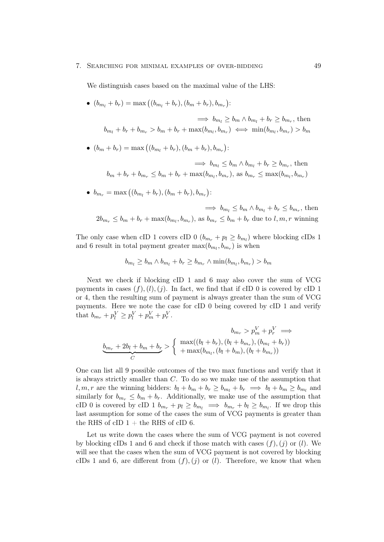#### 7. Searching for minimal examples of over-bidding 49

We distinguish cases based on the maximal value of the LHS:

•  $(b_{m_l} + b_r) = \max((b_{m_l} + b_r), (b_m + b_r), b_{m_r})$ :

 $\implies b_{m_l} \ge b_m \wedge b_{m_l} + b_r \ge b_{m_r}$ , then  $b_{m_l} + b_r + b_{m_r} > b_m + b_r + \max(b_{m_l}, b_{m_r}) \iff \min(b_{m_l}, b_{m_r}) > b_m$ 

•  $(b_m + b_r) = \max ((b_{m_l} + b_r), (b_m + b_r), b_{m_r})$ :

 $\implies b_{m_l} \leq b_m \wedge b_{m_l} + b_r \geq b_{m_r}$ , then  $b_m + b_r + b_{m_r} \leq b_m + b_r + \max(b_{m_l}, b_{m_r}), \text{ as } b_{m_r} \leq \max(b_{m_l}, b_{m_r})$ 

•  $b_{m_r} = \max((b_{m_l} + b_r), (b_m + b_r), b_{m_r})$ :

$$
\implies b_{m_l} \le b_m \wedge b_{m_l} + b_r \le b_{m_r}, \text{ then}
$$
  

$$
2b_{m_r} \le b_m + b_r + \max(b_{m_l}, b_{m_r}), \text{ as } b_{m_r} \le b_m + b_r \text{ due to } l, m, r \text{ winning}
$$

The only case when cID 1 covers cID 0  $(b_{m_r} + p_l \ge b_{m_l})$  where blocking cIDs 1 and 6 result in total payment greater  $\max(b_{m_l}, b_{m_r})$  is when

$$
b_{m_l} \ge b_m \wedge b_{m_l} + b_r \ge b_{m_r} \wedge \min(b_{m_l}, b_{m_r}) > b_m
$$

Next we check if blocking cID 1 and 6 may also cover the sum of VCG payments in cases  $(f), (l), (j)$ . In fact, we find that if cID 0 is covered by cID 1 or 4, then the resulting sum of payment is always greater than the sum of VCG payments. Here we note the case for cID 0 being covered by cID 1 and verify that  $b_{m_r} + p_l^V \ge p_l^V + p_m^V + p_r^V$ .

$$
b_{m_r} > p_m^V + p_r^V \implies
$$
  

$$
\underbrace{b_{m_r} + 2b_l + b_m + b_r}_{C} > \begin{cases} \max((b_l + b_r), (b_l + b_{m_r}), (b_{m_l} + b_r)) \\ + \max(b_{m_l}, (b_l + b_m), (b_l + b_{m_r})) \end{cases}
$$

One can list all 9 possible outcomes of the two max functions and verify that it is always strictly smaller than C. To do so we make use of the assumption that l, m, r are the winning bidders:  $b_l + b_m + b_r \ge b_{m_l} + b_r \implies b_l + b_m \ge b_{m_l}$  and similarly for  $b_{m_r} \leq b_m + b_r$ . Additionally, we make use of the assumption that cID 0 is covered by cID 1  $b_{m_r} + p_l \ge b_{m_l} \implies b_{m_r} + b_l \ge b_{m_l}$ . If we drop this last assumption for some of the cases the sum of VCG payments is greater than the RHS of cID  $1 +$  the RHS of cID 6.

Let us write down the cases where the sum of VCG payment is not covered by blocking cIDs 1 and 6 and check if those match with cases  $(f)$ ,  $(i)$  or  $(l)$ . We will see that the cases when the sum of VCG payment is not covered by blocking cIDs 1 and 6, are different from  $(f), (i)$  or  $(l)$ . Therefore, we know that when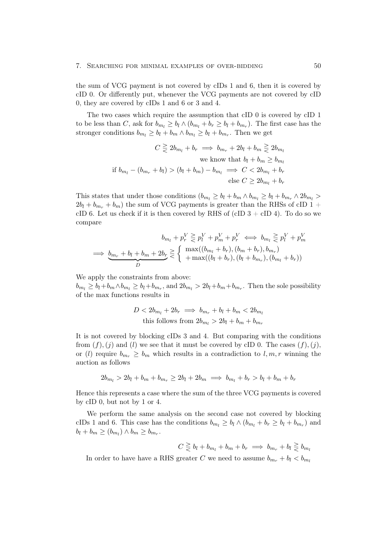#### 7. SEARCHING FOR MINIMAL EXAMPLES OF OVER-BIDDING 50

the sum of VCG payment is not covered by cIDs 1 and 6, then it is covered by cID 0. Or differently put, whenever the VCG payments are not covered by cID 0, they are covered by cIDs 1 and 6 or 3 and 4.

The two cases which require the assumption that cID 0 is covered by cID 1 to be less than C, ask for  $b_{m_l} \ge b_l \wedge (b_{m_l} + b_r \ge b_l + b_{m_r})$ . The first case has the stronger conditions  $b_{m_l} \ge b_l + b_m \wedge b_{m_l} \ge b_l + b_{m_r}$ . Then we get

$$
C \geq 2b_{m_l} + b_r \implies b_{m_r} + 2b_l + b_m \geq 2b_{m_l}
$$
  
we know that  $b_l + b_m \geq b_{m_l}$   
if  $b_{m_l} - (b_{m_r} + b_l) > (b_l + b_m) - b_{m_l} \implies C < 2b_{m_l} + b_r$   
else  $C \geq 2b_{m_l} + b_r$ 

This states that under those conditions  $(b_{m_l} \ge b_l + b_m \wedge b_{m_l} \ge b_l + b_{m_r} \wedge 2b_{m_l} >$  $2b_l + b_{m_r} + b_m$ ) the sum of VCG payments is greater than the RHSs of cID 1 + cID 6. Let us check if it is then covered by RHS of (cID  $3 + \text{cID } 4$ ). To do so we compare

$$
b_{m_l} + p_r^V \geq p_l^V + p_m^V + p_r^V \iff b_{m_l} \geq p_l^V + p_m^V
$$
  

$$
\implies \underbrace{b_{m_r} + b_l + b_m + 2b_r}_{D} \geq \begin{cases} \max((b_{m_l} + b_r), (b_m + b_r), b_{m_r}) \\ + \max((b_l + b_r), (b_l + b_{m_r}), (b_{m_l} + b_r)) \end{cases}
$$

We apply the constraints from above:

 $b_{m_l} \geq b_l + b_m \wedge b_{m_l} \geq b_l + b_{m_r}$ , and  $2b_{m_l} > 2b_l + b_m + b_{m_r}$ . Then the sole possibility of the max functions results in

$$
D < 2b_{m_l} + 2b_r \implies b_{m_r} + b_l + b_m < 2b_{m_l}
$$
\nthis follows from  $2b_{m_l} > 2b_l + b_m + b_{m_r}$ 

It is not covered by blocking cIDs 3 and 4. But comparing with the conditions from  $(f)$ ,  $(j)$  and  $(l)$  we see that it must be covered by cID 0. The cases  $(f)$ ,  $(j)$ , or (l) require  $b_{m_r} \geq b_m$  which results in a contradiction to l, m, r winning the auction as follows

$$
2b_{m_l} > 2b_l + b_m + b_{m_r} \ge 2b_l + 2b_m \implies b_{m_l} + b_r > b_l + b_m + b_r
$$

Hence this represents a case where the sum of the three VCG payments is covered by cID 0, but not by 1 or 4.

We perform the same analysis on the second case not covered by blocking cIDs 1 and 6. This case has the conditions  $b_{m_l} \ge b_l \wedge (b_{m_l} + b_r \ge b_l + b_{m_r})$  and  $b_l + b_m \ge (b_{m_l}) \wedge b_m \ge b_{m_r}.$ 

$$
C \geq b_l + b_{m_l} + b_m + b_r \implies b_{m_r} + b_l \geq b_{m_l}
$$

In order to have have a RHS greater C we need to assume  $b_{m_r} + b_l < b_{m_l}$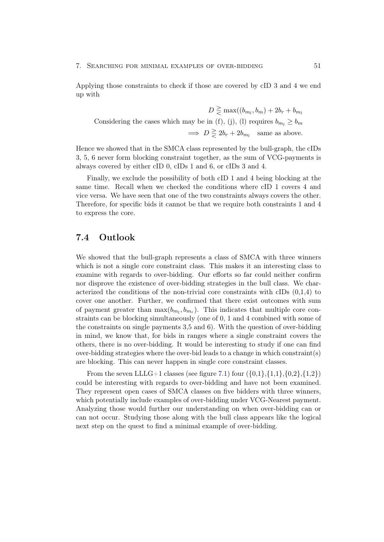#### 7. SEARCHING FOR MINIMAL EXAMPLES OF OVER-BIDDING  $51$

Applying those constraints to check if those are covered by cID 3 and 4 we end up with

 $D \geq \max((b_{m_l}, b_m) + 2b_r + b_{m_l})$ Considering the cases which may be in (f), (j), (l) requires  $b_{m_l} \geq b_m$  $\implies D \geq 2b_r + 2b_{m_l}$  same as above.

Hence we showed that in the SMCA class represented by the bull-graph, the cIDs 3, 5, 6 never form blocking constraint together, as the sum of VCG-payments is always covered by either cID 0, cIDs 1 and 6, or cIDs 3 and 4.

Finally, we exclude the possibility of both cID 1 and 4 being blocking at the same time. Recall when we checked the conditions where cID 1 covers 4 and vice versa. We have seen that one of the two constraints always covers the other. Therefore, for specific bids it cannot be that we require both constraints 1 and 4 to express the core.

### <span id="page-55-0"></span>7.4 Outlook

We showed that the bull-graph represents a class of SMCA with three winners which is not a single core constraint class. This makes it an interesting class to examine with regards to over-bidding. Our efforts so far could neither confirm nor disprove the existence of over-bidding strategies in the bull class. We characterized the conditions of the non-trivial core constraints with cIDs (0,1,4) to cover one another. Further, we confirmed that there exist outcomes with sum of payment greater than  $\max(b_{m_l}, b_{m_r})$ . This indicates that multiple core constraints can be blocking simultaneously (one of 0, 1 and 4 combined with some of the constraints on single payments 3,5 and 6). With the question of over-bidding in mind, we know that, for bids in ranges where a single constraint covers the others, there is no over-bidding. It would be interesting to study if one can find over-bidding strategies where the over-bid leads to a change in which constraint(s) are blocking. This can never happen in single core constraint classes.

From the seven LLLG+1 classes (see figure [7.1\)](#page-43-0) four  $({0,1}, {1,1}, {0,2}, {1,2})$ could be interesting with regards to over-bidding and have not been examined. They represent open cases of SMCA classes on five bidders with three winners, which potentially include examples of over-bidding under VCG-Nearest payment. Analyzing those would further our understanding on when over-bidding can or can not occur. Studying those along with the bull class appears like the logical next step on the quest to find a minimal example of over-bidding.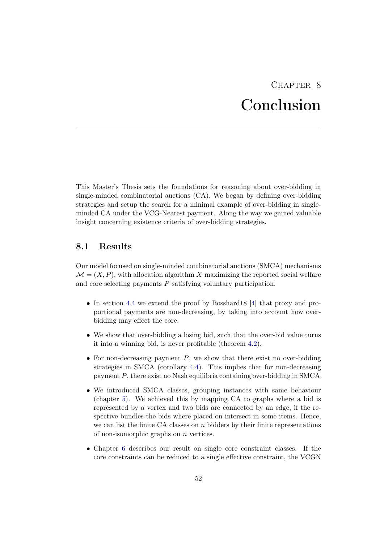## CHAPTER<sub>8</sub> Conclusion

<span id="page-56-0"></span>This Master's Thesis sets the foundations for reasoning about over-bidding in single-minded combinatorial auctions (CA). We began by defining over-bidding strategies and setup the search for a minimal example of over-bidding in singleminded CA under the VCG-Nearest payment. Along the way we gained valuable insight concerning existence criteria of over-bidding strategies.

## <span id="page-56-1"></span>8.1 Results

Our model focused on single-minded combinatorial auctions (SMCA) mechanisms  $\mathcal{M} = (X, P)$ , with allocation algorithm X maximizing the reported social welfare and core selecting payments P satisfying voluntary participation.

- In section [4.4](#page-24-0) we extend the proof by Bosshard18 [\[4\]](#page-58-4) that proxy and proportional payments are non-decreasing, by taking into account how overbidding may effect the core.
- We show that over-bidding a losing bid, such that the over-bid value turns it into a winning bid, is never profitable (theorem [4.2\)](#page-19-2).
- For non-decreasing payment  $P$ , we show that there exist no over-bidding strategies in SMCA (corollary [4.4\)](#page-22-1). This implies that for non-decreasing payment P, there exist no Nash equilibria containing over-bidding in SMCA.
- We introduced SMCA classes, grouping instances with same behaviour (chapter [5\)](#page-27-0). We achieved this by mapping CA to graphs where a bid is represented by a vertex and two bids are connected by an edge, if the respective bundles the bids where placed on intersect in some items. Hence, we can list the finite CA classes on  $n$  bidders by their finite representations of non-isomorphic graphs on  $n$  vertices.
- Chapter [6](#page-31-0) describes our result on single core constraint classes. If the core constraints can be reduced to a single effective constraint, the VCGN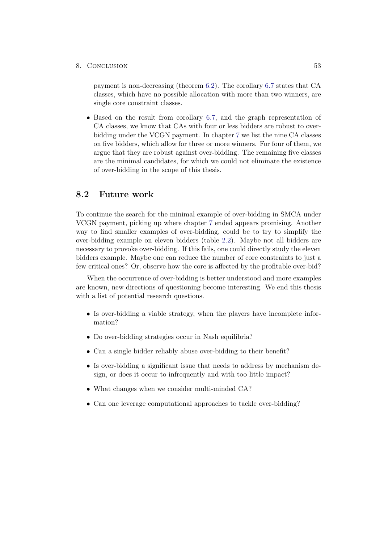#### 8. Conclusion 53

payment is non-decreasing (theorem [6.2\)](#page-31-1). The corollary [6.7](#page-39-0) states that CA classes, which have no possible allocation with more than two winners, are single core constraint classes.

• Based on the result from corollary [6.7,](#page-39-0) and the graph representation of CA classes, we know that CAs with four or less bidders are robust to overbidding under the VCGN payment. In chapter [7](#page-42-0) we list the nine CA classes on five bidders, which allow for three or more winners. For four of them, we argue that they are robust against over-bidding. The remaining five classes are the minimal candidates, for which we could not eliminate the existence of over-bidding in the scope of this thesis.

## <span id="page-57-0"></span>8.2 Future work

To continue the search for the minimal example of over-bidding in SMCA under VCGN payment, picking up where chapter [7](#page-42-0) ended appears promising. Another way to find smaller examples of over-bidding, could be to try to simplify the over-bidding example on eleven bidders (table [2.2\)](#page-15-0). Maybe not all bidders are necessary to provoke over-bidding. If this fails, one could directly study the eleven bidders example. Maybe one can reduce the number of core constraints to just a few critical ones? Or, observe how the core is affected by the profitable over-bid?

When the occurrence of over-bidding is better understood and more examples are known, new directions of questioning become interesting. We end this thesis with a list of potential research questions.

- Is over-bidding a viable strategy, when the players have incomplete information?
- Do over-bidding strategies occur in Nash equilibria?
- Can a single bidder reliably abuse over-bidding to their benefit?
- Is over-bidding a significant issue that needs to address by mechanism design, or does it occur to infrequently and with too little impact?
- What changes when we consider multi-minded CA?
- Can one leverage computational approaches to tackle over-bidding?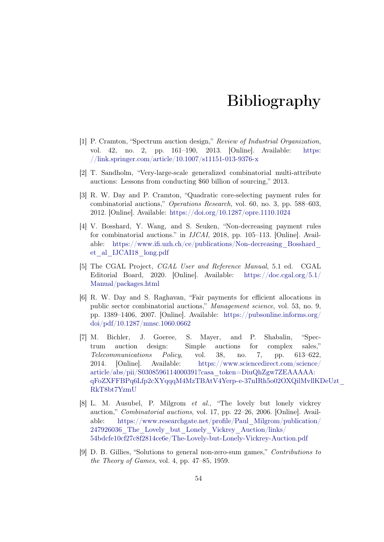## Bibliography

- <span id="page-58-1"></span><span id="page-58-0"></span>[1] P. Cramton, "Spectrum auction design," Review of Industrial Organization, vol. 42, no. 2, pp. 161–190, 2013. [Online]. Available: [https:](https://link.springer.com/article/10.1007/s11151-013-9376-x) [//link.springer.com/article/10.1007/s11151-013-9376-x](https://link.springer.com/article/10.1007/s11151-013-9376-x)
- <span id="page-58-2"></span>[2] T. Sandholm, "Very-large-scale generalized combinatorial multi-attribute auctions: Lessons from conducting \$60 billion of sourcing," 2013.
- <span id="page-58-3"></span>[3] R. W. Day and P. Cramton, "Quadratic core-selecting payment rules for combinatorial auctions," Operations Research, vol. 60, no. 3, pp. 588–603, 2012. [Online]. Available: <https://doi.org/10.1287/opre.1110.1024>
- <span id="page-58-4"></span>[4] V. Bosshard, Y. Wang, and S. Seuken, "Non-decreasing payment rules for combinatorial auctions." in IJCAI, 2018, pp. 105–113. [Online]. Available: [https://www.ifi.uzh.ch/ce/publications/Non-decreasing\\_Bosshard\\_](https://www.ifi.uzh.ch/ce/publications/Non-decreasing_Bosshard_et_al_IJCAI18_long.pdf) [et\\_al\\_IJCAI18\\_long.pdf](https://www.ifi.uzh.ch/ce/publications/Non-decreasing_Bosshard_et_al_IJCAI18_long.pdf)
- <span id="page-58-5"></span>[5] The CGAL Project, CGAL User and Reference Manual, 5.1 ed. CGAL Editorial Board, 2020. [Online]. Available: [https://doc.cgal.org/5.1/](https://doc.cgal.org/5.1/Manual/packages.html) [Manual/packages.html](https://doc.cgal.org/5.1/Manual/packages.html)
- <span id="page-58-6"></span>[6] R. W. Day and S. Raghavan, "Fair payments for efficient allocations in public sector combinatorial auctions," Management science, vol. 53, no. 9, pp. 1389–1406, 2007. [Online]. Available: [https://pubsonline.informs.org/](https://pubsonline.informs.org/doi/pdf/10.1287/mnsc.1060.0662) [doi/pdf/10.1287/mnsc.1060.0662](https://pubsonline.informs.org/doi/pdf/10.1287/mnsc.1060.0662)
- <span id="page-58-7"></span>[7] M. Bichler, J. Goeree, S. Mayer, and P. Shabalin, "Spectrum auction design: Simple auctions for complex sales," Telecommunications Policy, vol. 38, no. 7, pp. 613–622, 2014. [Online]. Available: [https://www.sciencedirect.com/science/](https://www.sciencedirect.com/science/article/abs/pii/S0308596114000391?casa_token=DiuQhZgw7ZEAAAAA:qFoZXFFBPq6Lfp2cXYqqqM4MzTBAtV4Yerp-e-37nIRh5o02OXQilMvllKDeUzt_RkT8bt7YzmU) [article/abs/pii/S0308596114000391?casa\\_token=DiuQhZgw7ZEAAAAA:](https://www.sciencedirect.com/science/article/abs/pii/S0308596114000391?casa_token=DiuQhZgw7ZEAAAAA:qFoZXFFBPq6Lfp2cXYqqqM4MzTBAtV4Yerp-e-37nIRh5o02OXQilMvllKDeUzt_RkT8bt7YzmU) [qFoZXFFBPq6Lfp2cXYqqqM4MzTBAtV4Yerp-e-37nIRh5o02OXQilMvllKD](https://www.sciencedirect.com/science/article/abs/pii/S0308596114000391?casa_token=DiuQhZgw7ZEAAAAA:qFoZXFFBPq6Lfp2cXYqqqM4MzTBAtV4Yerp-e-37nIRh5o02OXQilMvllKDeUzt_RkT8bt7YzmU)eUzt\_ [RkT8bt7YzmU](https://www.sciencedirect.com/science/article/abs/pii/S0308596114000391?casa_token=DiuQhZgw7ZEAAAAA:qFoZXFFBPq6Lfp2cXYqqqM4MzTBAtV4Yerp-e-37nIRh5o02OXQilMvllKDeUzt_RkT8bt7YzmU)
- <span id="page-58-8"></span>[8] L. M. Ausubel, P. Milgrom et al., "The lovely but lonely vickrey auction," Combinatorial auctions, vol. 17, pp. 22–26, 2006. [Online]. Available: [https://www.researchgate.net/profile/Paul\\_Milgrom/publication/](https://www.researchgate.net/profile/Paul_Milgrom/publication/247926036_The_Lovely_but_Lonely_Vickrey_Auction/links/54bdcfe10cf27c8f2814ce6e/The-Lovely-but-Lonely-Vickrey-Auction.pdf) [247926036\\_The\\_Lovely\\_but\\_Lonely\\_Vickrey\\_Auction/links/](https://www.researchgate.net/profile/Paul_Milgrom/publication/247926036_The_Lovely_but_Lonely_Vickrey_Auction/links/54bdcfe10cf27c8f2814ce6e/The-Lovely-but-Lonely-Vickrey-Auction.pdf) [54bdcfe10cf27c8f2814ce6e/The-Lovely-but-Lonely-Vickrey-Auction.pdf](https://www.researchgate.net/profile/Paul_Milgrom/publication/247926036_The_Lovely_but_Lonely_Vickrey_Auction/links/54bdcfe10cf27c8f2814ce6e/The-Lovely-but-Lonely-Vickrey-Auction.pdf)
- <span id="page-58-9"></span>[9] D. B. Gillies, "Solutions to general non-zero-sum games," Contributions to the Theory of Games, vol. 4, pp. 47–85, 1959.